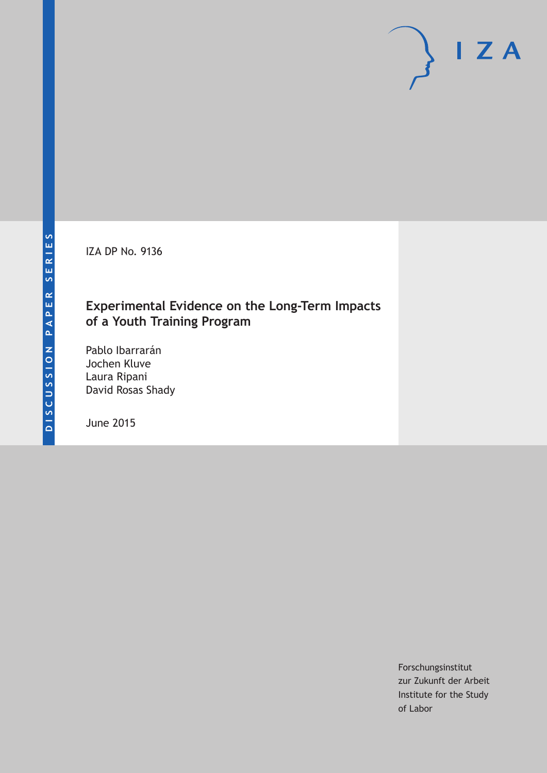IZA DP No. 9136

### **Experimental Evidence on the Long-Term Impacts of a Youth Training Program**

Pablo Ibarrarán Jochen Kluve Laura Ripani David Rosas Shady

June 2015

Forschungsinstitut zur Zukunft der Arbeit Institute for the Study of Labor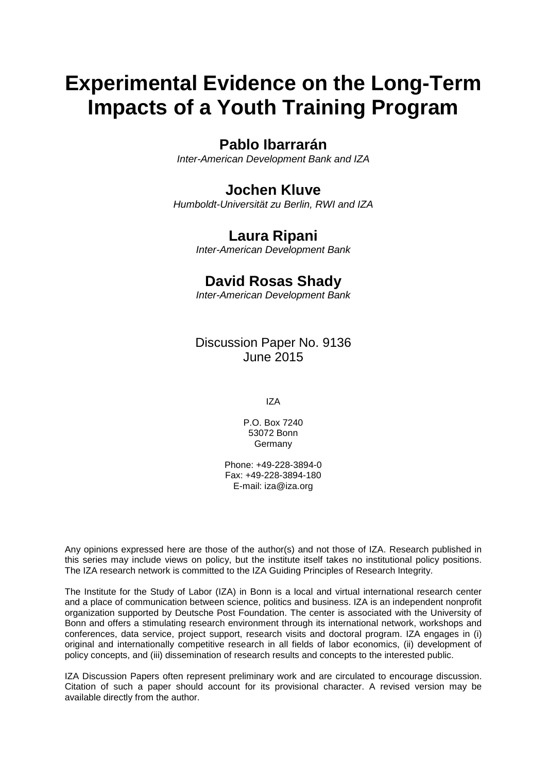# **Experimental Evidence on the Long-Term Impacts of a Youth Training Program**

### **Pablo Ibarrarán**

*Inter-American Development Bank and IZA*

### **Jochen Kluve**

*Humboldt-Universität zu Berlin, RWI and IZA*

### **Laura Ripani**

*Inter-American Development Bank*

### **David Rosas Shady**

*Inter-American Development Bank*

Discussion Paper No. 9136 June 2015

IZA

P.O. Box 7240 53072 Bonn Germany

Phone: +49-228-3894-0 Fax: +49-228-3894-180 E-mail: iza@iza.org

Any opinions expressed here are those of the author(s) and not those of IZA. Research published in this series may include views on policy, but the institute itself takes no institutional policy positions. The IZA research network is committed to the IZA Guiding Principles of Research Integrity.

The Institute for the Study of Labor (IZA) in Bonn is a local and virtual international research center and a place of communication between science, politics and business. IZA is an independent nonprofit organization supported by Deutsche Post Foundation. The center is associated with the University of Bonn and offers a stimulating research environment through its international network, workshops and conferences, data service, project support, research visits and doctoral program. IZA engages in (i) original and internationally competitive research in all fields of labor economics, (ii) development of policy concepts, and (iii) dissemination of research results and concepts to the interested public.

IZA Discussion Papers often represent preliminary work and are circulated to encourage discussion. Citation of such a paper should account for its provisional character. A revised version may be available directly from the author.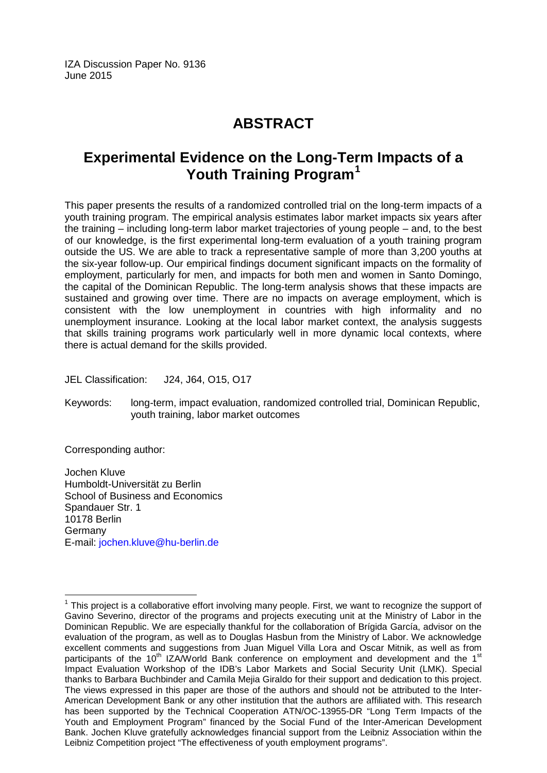IZA Discussion Paper No. 9136 June 2015

# **ABSTRACT**

## **Experimental Evidence on the Long-Term Impacts of a Youth Training Program[1](#page-2-0)**

This paper presents the results of a randomized controlled trial on the long-term impacts of a youth training program. The empirical analysis estimates labor market impacts six years after the training – including long-term labor market trajectories of young people – and, to the best of our knowledge, is the first experimental long-term evaluation of a youth training program outside the US. We are able to track a representative sample of more than 3,200 youths at the six-year follow-up. Our empirical findings document significant impacts on the formality of employment, particularly for men, and impacts for both men and women in Santo Domingo, the capital of the Dominican Republic. The long-term analysis shows that these impacts are sustained and growing over time. There are no impacts on average employment, which is consistent with the low unemployment in countries with high informality and no unemployment insurance. Looking at the local labor market context, the analysis suggests that skills training programs work particularly well in more dynamic local contexts, where there is actual demand for the skills provided.

JEL Classification: J24, J64, O15, O17

Keywords: long-term, impact evaluation, randomized controlled trial, Dominican Republic, youth training, labor market outcomes

Corresponding author:

Jochen Kluve Humboldt-Universität zu Berlin School of Business and Economics Spandauer Str. 1 10178 Berlin Germany E-mail: [jochen.kluve@hu-berlin.de](mailto:jochen.kluve@hu-berlin.de)

<span id="page-2-0"></span> $<sup>1</sup>$  This project is a collaborative effort involving many people. First, we want to recognize the support of</sup> Gavino Severino, director of the programs and projects executing unit at the Ministry of Labor in the Dominican Republic. We are especially thankful for the collaboration of Brígida García, advisor on the evaluation of the program, as well as to Douglas Hasbun from the Ministry of Labor. We acknowledge excellent comments and suggestions from Juan Miguel Villa Lora and Oscar Mitnik, as well as from participants of the 10<sup>th</sup> IZA/World Bank conference on employment and development and the 1<sup>st</sup> Impact Evaluation Workshop of the IDB's Labor Markets and Social Security Unit (LMK). Special thanks to Barbara Buchbinder and Camila Mejia Giraldo for their support and dedication to this project. The views expressed in this paper are those of the authors and should not be attributed to the Inter-American Development Bank or any other institution that the authors are affiliated with. This research has been supported by the Technical Cooperation ATN/OC-13955-DR "Long Term Impacts of the Youth and Employment Program" financed by the Social Fund of the Inter-American Development Bank. Jochen Kluve gratefully acknowledges financial support from the Leibniz Association within the Leibniz Competition project "The effectiveness of youth employment programs".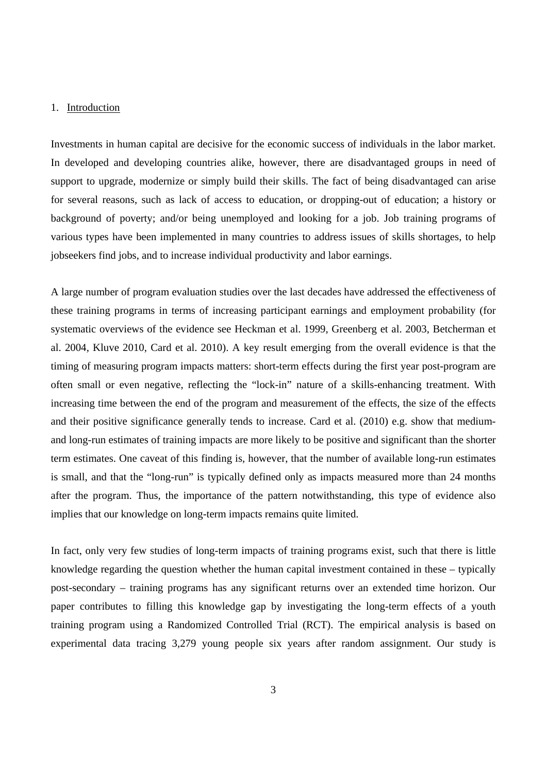#### 1. Introduction

Investments in human capital are decisive for the economic success of individuals in the labor market. In developed and developing countries alike, however, there are disadvantaged groups in need of support to upgrade, modernize or simply build their skills. The fact of being disadvantaged can arise for several reasons, such as lack of access to education, or dropping-out of education; a history or background of poverty; and/or being unemployed and looking for a job. Job training programs of various types have been implemented in many countries to address issues of skills shortages, to help jobseekers find jobs, and to increase individual productivity and labor earnings.

A large number of program evaluation studies over the last decades have addressed the effectiveness of these training programs in terms of increasing participant earnings and employment probability (for systematic overviews of the evidence see Heckman et al. 1999, Greenberg et al. 2003, Betcherman et al. 2004, Kluve 2010, Card et al. 2010). A key result emerging from the overall evidence is that the timing of measuring program impacts matters: short-term effects during the first year post-program are often small or even negative, reflecting the "lock-in" nature of a skills-enhancing treatment. With increasing time between the end of the program and measurement of the effects, the size of the effects and their positive significance generally tends to increase. Card et al. (2010) e.g. show that mediumand long-run estimates of training impacts are more likely to be positive and significant than the shorter term estimates. One caveat of this finding is, however, that the number of available long-run estimates is small, and that the "long-run" is typically defined only as impacts measured more than 24 months after the program. Thus, the importance of the pattern notwithstanding, this type of evidence also implies that our knowledge on long-term impacts remains quite limited.

In fact, only very few studies of long-term impacts of training programs exist, such that there is little knowledge regarding the question whether the human capital investment contained in these – typically post-secondary – training programs has any significant returns over an extended time horizon. Our paper contributes to filling this knowledge gap by investigating the long-term effects of a youth training program using a Randomized Controlled Trial (RCT). The empirical analysis is based on experimental data tracing 3,279 young people six years after random assignment. Our study is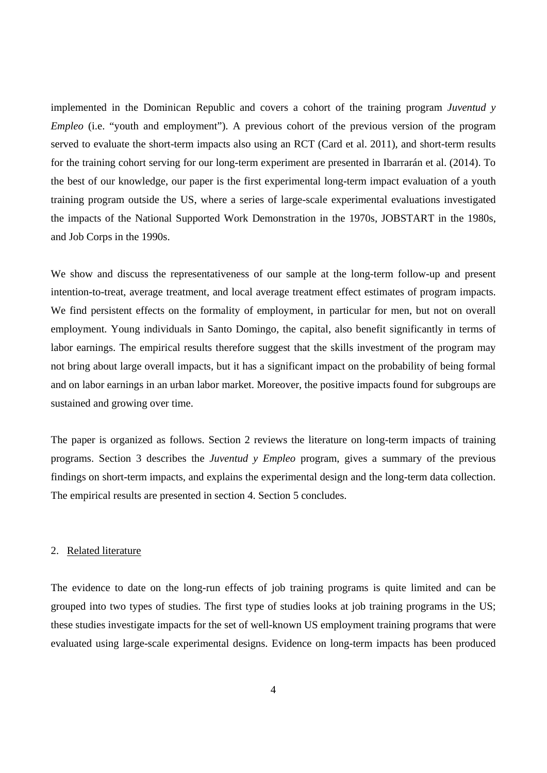implemented in the Dominican Republic and covers a cohort of the training program *Juventud y Empleo* (i.e. "youth and employment"). A previous cohort of the previous version of the program served to evaluate the short-term impacts also using an RCT (Card et al. 2011), and short-term results for the training cohort serving for our long-term experiment are presented in Ibarrarán et al. (2014). To the best of our knowledge, our paper is the first experimental long-term impact evaluation of a youth training program outside the US, where a series of large-scale experimental evaluations investigated the impacts of the National Supported Work Demonstration in the 1970s, JOBSTART in the 1980s, and Job Corps in the 1990s.

We show and discuss the representativeness of our sample at the long-term follow-up and present intention-to-treat, average treatment, and local average treatment effect estimates of program impacts. We find persistent effects on the formality of employment, in particular for men, but not on overall employment. Young individuals in Santo Domingo, the capital, also benefit significantly in terms of labor earnings. The empirical results therefore suggest that the skills investment of the program may not bring about large overall impacts, but it has a significant impact on the probability of being formal and on labor earnings in an urban labor market. Moreover, the positive impacts found for subgroups are sustained and growing over time.

The paper is organized as follows. Section 2 reviews the literature on long-term impacts of training programs. Section 3 describes the *Juventud y Empleo* program, gives a summary of the previous findings on short-term impacts, and explains the experimental design and the long-term data collection. The empirical results are presented in section 4. Section 5 concludes.

#### 2. Related literature

The evidence to date on the long-run effects of job training programs is quite limited and can be grouped into two types of studies. The first type of studies looks at job training programs in the US; these studies investigate impacts for the set of well-known US employment training programs that were evaluated using large-scale experimental designs. Evidence on long-term impacts has been produced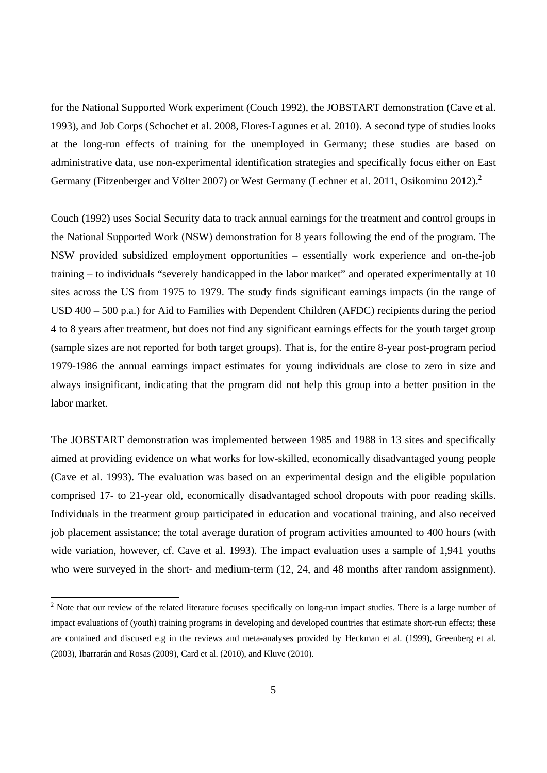for the National Supported Work experiment (Couch 1992), the JOBSTART demonstration (Cave et al. 1993), and Job Corps (Schochet et al. 2008, Flores-Lagunes et al. 2010). A second type of studies looks at the long-run effects of training for the unemployed in Germany; these studies are based on administrative data, use non-experimental identification strategies and specifically focus either on East Germany (Fitzenberger and Völter 2007) or West Germany (Lechner et al. 2011, Osikominu 2012).<sup>2</sup>

Couch (1992) uses Social Security data to track annual earnings for the treatment and control groups in the National Supported Work (NSW) demonstration for 8 years following the end of the program. The NSW provided subsidized employment opportunities – essentially work experience and on-the-job training – to individuals "severely handicapped in the labor market" and operated experimentally at 10 sites across the US from 1975 to 1979. The study finds significant earnings impacts (in the range of USD 400 – 500 p.a.) for Aid to Families with Dependent Children (AFDC) recipients during the period 4 to 8 years after treatment, but does not find any significant earnings effects for the youth target group (sample sizes are not reported for both target groups). That is, for the entire 8-year post-program period 1979-1986 the annual earnings impact estimates for young individuals are close to zero in size and always insignificant, indicating that the program did not help this group into a better position in the labor market.

The JOBSTART demonstration was implemented between 1985 and 1988 in 13 sites and specifically aimed at providing evidence on what works for low-skilled, economically disadvantaged young people (Cave et al. 1993). The evaluation was based on an experimental design and the eligible population comprised 17- to 21-year old, economically disadvantaged school dropouts with poor reading skills. Individuals in the treatment group participated in education and vocational training, and also received job placement assistance; the total average duration of program activities amounted to 400 hours (with wide variation, however, cf. Cave et al. 1993). The impact evaluation uses a sample of 1,941 youths who were surveyed in the short- and medium-term (12, 24, and 48 months after random assignment).

<sup>&</sup>lt;sup>2</sup> Note that our review of the related literature focuses specifically on long-run impact studies. There is a large number of impact evaluations of (youth) training programs in developing and developed countries that estimate short-run effects; these are contained and discused e.g in the reviews and meta-analyses provided by Heckman et al. (1999), Greenberg et al. (2003), Ibarrarán and Rosas (2009), Card et al. (2010), and Kluve (2010).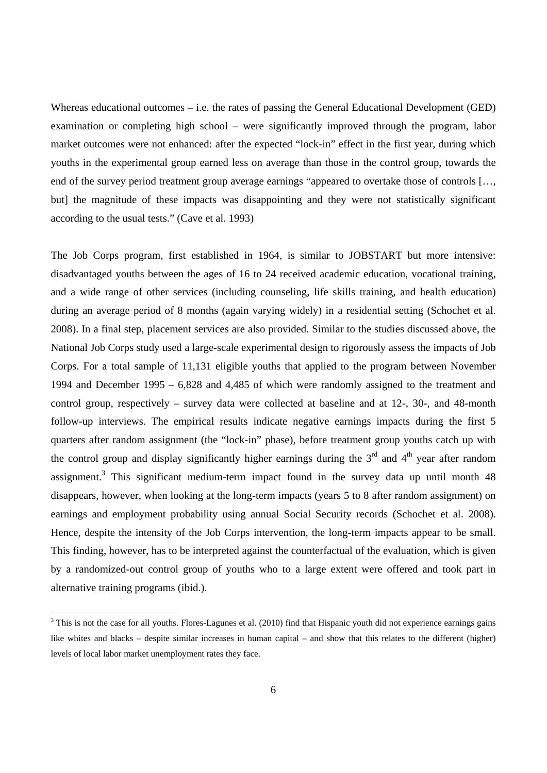Whereas educational outcomes – i.e. the rates of passing the General Educational Development (GED) examination or completing high school – were significantly improved through the program, labor market outcomes were not enhanced: after the expected "lock-in" effect in the first year, during which youths in the experimental group earned less on average than those in the control group, towards the end of the survey period treatment group average earnings "appeared to overtake those of controls […, but] the magnitude of these impacts was disappointing and they were not statistically significant according to the usual tests." (Cave et al. 1993)

The Job Corps program, first established in 1964, is similar to JOBSTART but more intensive: disadvantaged youths between the ages of 16 to 24 received academic education, vocational training, and a wide range of other services (including counseling, life skills training, and health education) during an average period of 8 months (again varying widely) in a residential setting (Schochet et al. 2008). In a final step, placement services are also provided. Similar to the studies discussed above, the National Job Corps study used a large-scale experimental design to rigorously assess the impacts of Job Corps. For a total sample of 11,131 eligible youths that applied to the program between November 1994 and December 1995 – 6,828 and 4,485 of which were randomly assigned to the treatment and control group, respectively – survey data were collected at baseline and at 12-, 30-, and 48-month follow-up interviews. The empirical results indicate negative earnings impacts during the first 5 quarters after random assignment (the "lock-in" phase), before treatment group youths catch up with the control group and display significantly higher earnings during the  $3<sup>rd</sup>$  and  $4<sup>th</sup>$  year after random assignment.<sup>3</sup> This significant medium-term impact found in the survey data up until month  $48$ disappears, however, when looking at the long-term impacts (years 5 to 8 after random assignment) on earnings and employment probability using annual Social Security records (Schochet et al. 2008). Hence, despite the intensity of the Job Corps intervention, the long-term impacts appear to be small. This finding, however, has to be interpreted against the counterfactual of the evaluation, which is given by a randomized-out control group of youths who to a large extent were offered and took part in alternative training programs (ibid.).

 $\overline{a}$ 

 $3$  This is not the case for all youths. Flores-Lagunes et al. (2010) find that Hispanic youth did not experience earnings gains like whites and blacks – despite similar increases in human capital – and show that this relates to the different (higher) levels of local labor market unemployment rates they face.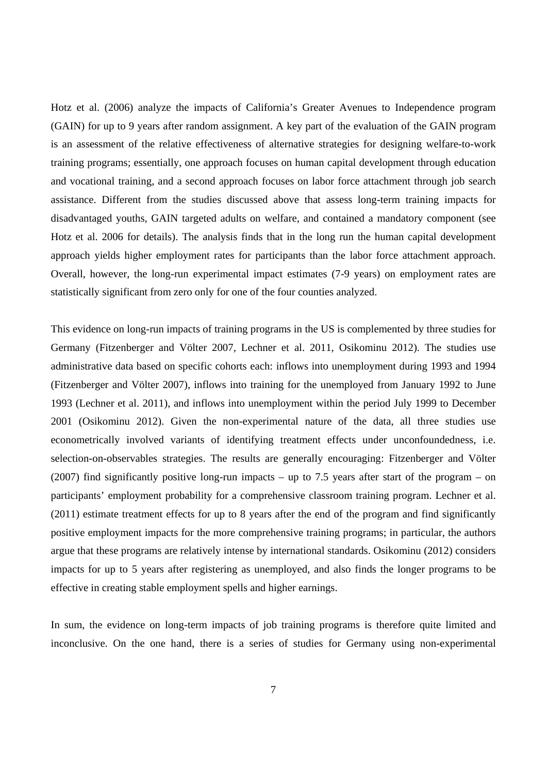Hotz et al. (2006) analyze the impacts of California's Greater Avenues to Independence program (GAIN) for up to 9 years after random assignment. A key part of the evaluation of the GAIN program is an assessment of the relative effectiveness of alternative strategies for designing welfare-to-work training programs; essentially, one approach focuses on human capital development through education and vocational training, and a second approach focuses on labor force attachment through job search assistance. Different from the studies discussed above that assess long-term training impacts for disadvantaged youths, GAIN targeted adults on welfare, and contained a mandatory component (see Hotz et al. 2006 for details). The analysis finds that in the long run the human capital development approach yields higher employment rates for participants than the labor force attachment approach. Overall, however, the long-run experimental impact estimates (7-9 years) on employment rates are statistically significant from zero only for one of the four counties analyzed.

This evidence on long-run impacts of training programs in the US is complemented by three studies for Germany (Fitzenberger and Völter 2007, Lechner et al. 2011, Osikominu 2012). The studies use administrative data based on specific cohorts each: inflows into unemployment during 1993 and 1994 (Fitzenberger and Völter 2007), inflows into training for the unemployed from January 1992 to June 1993 (Lechner et al. 2011), and inflows into unemployment within the period July 1999 to December 2001 (Osikominu 2012). Given the non-experimental nature of the data, all three studies use econometrically involved variants of identifying treatment effects under unconfoundedness, i.e. selection-on-observables strategies. The results are generally encouraging: Fitzenberger and Völter (2007) find significantly positive long-run impacts – up to 7.5 years after start of the program – on participants' employment probability for a comprehensive classroom training program. Lechner et al. (2011) estimate treatment effects for up to 8 years after the end of the program and find significantly positive employment impacts for the more comprehensive training programs; in particular, the authors argue that these programs are relatively intense by international standards. Osikominu (2012) considers impacts for up to 5 years after registering as unemployed, and also finds the longer programs to be effective in creating stable employment spells and higher earnings.

In sum, the evidence on long-term impacts of job training programs is therefore quite limited and inconclusive. On the one hand, there is a series of studies for Germany using non-experimental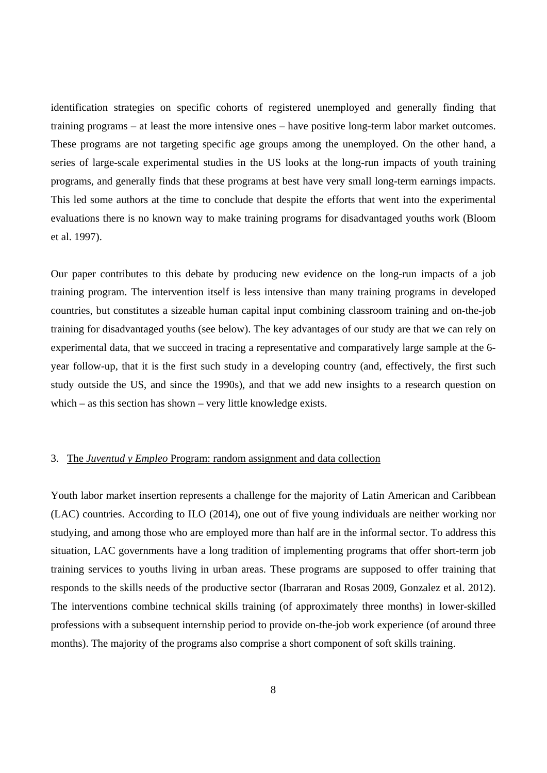identification strategies on specific cohorts of registered unemployed and generally finding that training programs – at least the more intensive ones – have positive long-term labor market outcomes. These programs are not targeting specific age groups among the unemployed. On the other hand, a series of large-scale experimental studies in the US looks at the long-run impacts of youth training programs, and generally finds that these programs at best have very small long-term earnings impacts. This led some authors at the time to conclude that despite the efforts that went into the experimental evaluations there is no known way to make training programs for disadvantaged youths work (Bloom et al. 1997).

Our paper contributes to this debate by producing new evidence on the long-run impacts of a job training program. The intervention itself is less intensive than many training programs in developed countries, but constitutes a sizeable human capital input combining classroom training and on-the-job training for disadvantaged youths (see below). The key advantages of our study are that we can rely on experimental data, that we succeed in tracing a representative and comparatively large sample at the 6 year follow-up, that it is the first such study in a developing country (and, effectively, the first such study outside the US, and since the 1990s), and that we add new insights to a research question on which – as this section has shown – very little knowledge exists.

#### 3. The *Juventud y Empleo* Program: random assignment and data collection

Youth labor market insertion represents a challenge for the majority of Latin American and Caribbean (LAC) countries. According to ILO (2014), one out of five young individuals are neither working nor studying, and among those who are employed more than half are in the informal sector. To address this situation, LAC governments have a long tradition of implementing programs that offer short-term job training services to youths living in urban areas. These programs are supposed to offer training that responds to the skills needs of the productive sector (Ibarraran and Rosas 2009, Gonzalez et al. 2012). The interventions combine technical skills training (of approximately three months) in lower-skilled professions with a subsequent internship period to provide on-the-job work experience (of around three months). The majority of the programs also comprise a short component of soft skills training.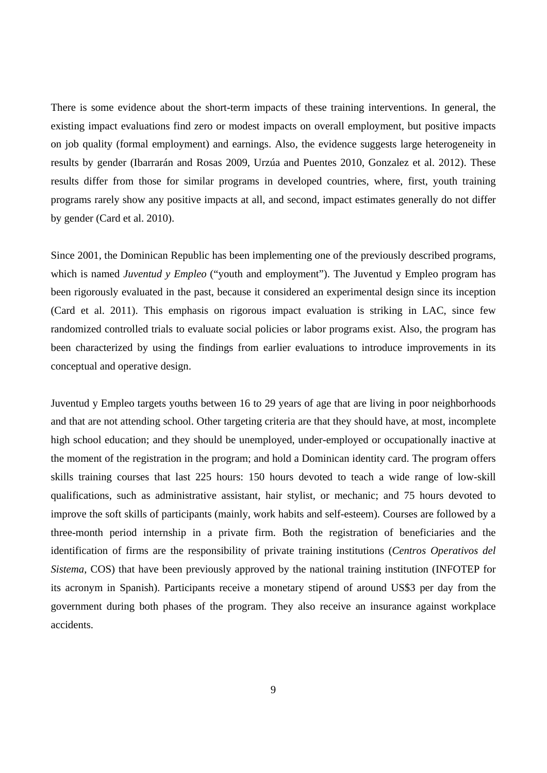There is some evidence about the short-term impacts of these training interventions. In general, the existing impact evaluations find zero or modest impacts on overall employment, but positive impacts on job quality (formal employment) and earnings. Also, the evidence suggests large heterogeneity in results by gender (Ibarrarán and Rosas 2009, Urzúa and Puentes 2010, Gonzalez et al. 2012). These results differ from those for similar programs in developed countries, where, first, youth training programs rarely show any positive impacts at all, and second, impact estimates generally do not differ by gender (Card et al. 2010).

Since 2001, the Dominican Republic has been implementing one of the previously described programs, which is named *Juventud y Empleo* ("youth and employment"). The Juventud y Empleo program has been rigorously evaluated in the past, because it considered an experimental design since its inception (Card et al. 2011). This emphasis on rigorous impact evaluation is striking in LAC, since few randomized controlled trials to evaluate social policies or labor programs exist. Also, the program has been characterized by using the findings from earlier evaluations to introduce improvements in its conceptual and operative design.

Juventud y Empleo targets youths between 16 to 29 years of age that are living in poor neighborhoods and that are not attending school. Other targeting criteria are that they should have, at most, incomplete high school education; and they should be unemployed, under-employed or occupationally inactive at the moment of the registration in the program; and hold a Dominican identity card. The program offers skills training courses that last 225 hours: 150 hours devoted to teach a wide range of low-skill qualifications, such as administrative assistant, hair stylist, or mechanic; and 75 hours devoted to improve the soft skills of participants (mainly, work habits and self-esteem). Courses are followed by a three-month period internship in a private firm. Both the registration of beneficiaries and the identification of firms are the responsibility of private training institutions (*Centros Operativos del Sistema*, COS) that have been previously approved by the national training institution (INFOTEP for its acronym in Spanish). Participants receive a monetary stipend of around US\$3 per day from the government during both phases of the program. They also receive an insurance against workplace accidents.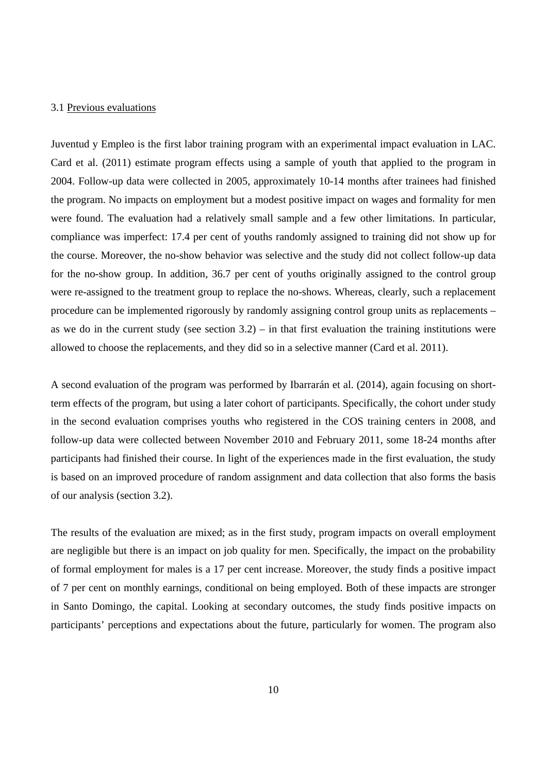#### 3.1 Previous evaluations

Juventud y Empleo is the first labor training program with an experimental impact evaluation in LAC. Card et al. (2011) estimate program effects using a sample of youth that applied to the program in 2004. Follow-up data were collected in 2005, approximately 10-14 months after trainees had finished the program. No impacts on employment but a modest positive impact on wages and formality for men were found. The evaluation had a relatively small sample and a few other limitations. In particular, compliance was imperfect: 17.4 per cent of youths randomly assigned to training did not show up for the course. Moreover, the no-show behavior was selective and the study did not collect follow-up data for the no-show group. In addition, 36.7 per cent of youths originally assigned to the control group were re-assigned to the treatment group to replace the no-shows. Whereas, clearly, such a replacement procedure can be implemented rigorously by randomly assigning control group units as replacements – as we do in the current study (see section  $3.2$ ) – in that first evaluation the training institutions were allowed to choose the replacements, and they did so in a selective manner (Card et al. 2011).

A second evaluation of the program was performed by Ibarrarán et al. (2014), again focusing on shortterm effects of the program, but using a later cohort of participants. Specifically, the cohort under study in the second evaluation comprises youths who registered in the COS training centers in 2008, and follow-up data were collected between November 2010 and February 2011, some 18-24 months after participants had finished their course. In light of the experiences made in the first evaluation, the study is based on an improved procedure of random assignment and data collection that also forms the basis of our analysis (section 3.2).

The results of the evaluation are mixed; as in the first study, program impacts on overall employment are negligible but there is an impact on job quality for men. Specifically, the impact on the probability of formal employment for males is a 17 per cent increase. Moreover, the study finds a positive impact of 7 per cent on monthly earnings, conditional on being employed. Both of these impacts are stronger in Santo Domingo, the capital. Looking at secondary outcomes, the study finds positive impacts on participants' perceptions and expectations about the future, particularly for women. The program also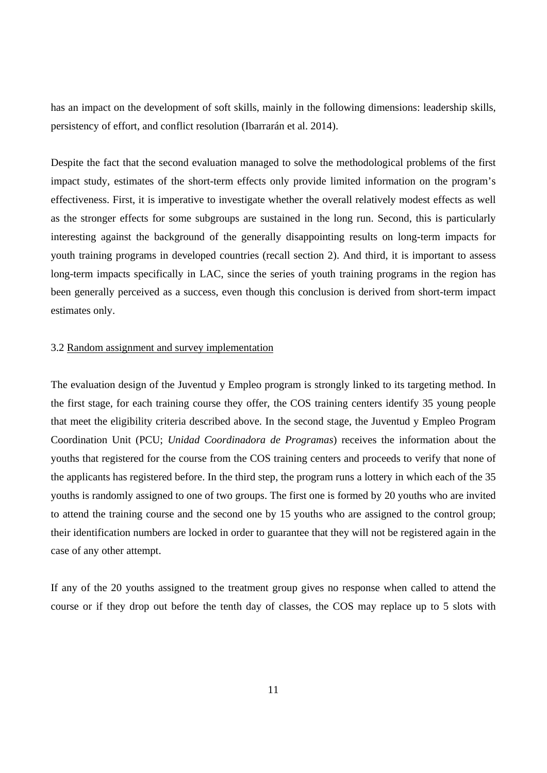has an impact on the development of soft skills, mainly in the following dimensions: leadership skills, persistency of effort, and conflict resolution (Ibarrarán et al. 2014).

Despite the fact that the second evaluation managed to solve the methodological problems of the first impact study, estimates of the short-term effects only provide limited information on the program's effectiveness. First, it is imperative to investigate whether the overall relatively modest effects as well as the stronger effects for some subgroups are sustained in the long run. Second, this is particularly interesting against the background of the generally disappointing results on long-term impacts for youth training programs in developed countries (recall section 2). And third, it is important to assess long-term impacts specifically in LAC, since the series of youth training programs in the region has been generally perceived as a success, even though this conclusion is derived from short-term impact estimates only.

#### 3.2 Random assignment and survey implementation

The evaluation design of the Juventud y Empleo program is strongly linked to its targeting method. In the first stage, for each training course they offer, the COS training centers identify 35 young people that meet the eligibility criteria described above. In the second stage, the Juventud y Empleo Program Coordination Unit (PCU; *Unidad Coordinadora de Programas*) receives the information about the youths that registered for the course from the COS training centers and proceeds to verify that none of the applicants has registered before. In the third step, the program runs a lottery in which each of the 35 youths is randomly assigned to one of two groups. The first one is formed by 20 youths who are invited to attend the training course and the second one by 15 youths who are assigned to the control group; their identification numbers are locked in order to guarantee that they will not be registered again in the case of any other attempt.

If any of the 20 youths assigned to the treatment group gives no response when called to attend the course or if they drop out before the tenth day of classes, the COS may replace up to 5 slots with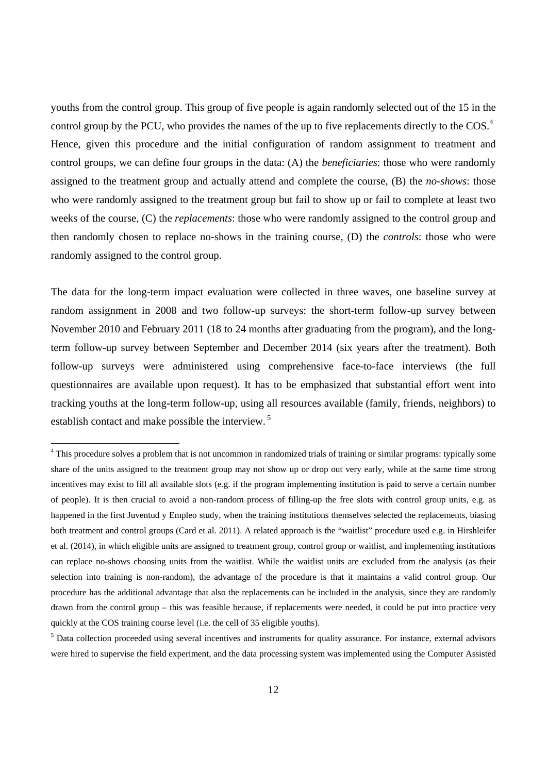youths from the control group. This group of five people is again randomly selected out of the 15 in the control group by the PCU, who provides the names of the up to five replacements directly to the  $\cos$ <sup>4</sup>. Hence, given this procedure and the initial configuration of random assignment to treatment and control groups, we can define four groups in the data: (A) the *beneficiaries*: those who were randomly assigned to the treatment group and actually attend and complete the course, (B) the *no-shows*: those who were randomly assigned to the treatment group but fail to show up or fail to complete at least two weeks of the course, (C) the *replacements*: those who were randomly assigned to the control group and then randomly chosen to replace no-shows in the training course, (D) the *controls*: those who were randomly assigned to the control group.

The data for the long-term impact evaluation were collected in three waves, one baseline survey at random assignment in 2008 and two follow-up surveys: the short-term follow-up survey between November 2010 and February 2011 (18 to 24 months after graduating from the program), and the longterm follow-up survey between September and December 2014 (six years after the treatment). Both follow-up surveys were administered using comprehensive face-to-face interviews (the full questionnaires are available upon request). It has to be emphasized that substantial effort went into tracking youths at the long-term follow-up, using all resources available (family, friends, neighbors) to establish contact and make possible the interview. 5

l

<sup>&</sup>lt;sup>4</sup> This procedure solves a problem that is not uncommon in randomized trials of training or similar programs: typically some share of the units assigned to the treatment group may not show up or drop out very early, while at the same time strong incentives may exist to fill all available slots (e.g. if the program implementing institution is paid to serve a certain number of people). It is then crucial to avoid a non-random process of filling-up the free slots with control group units, e.g. as happened in the first Juventud y Empleo study, when the training institutions themselves selected the replacements, biasing both treatment and control groups (Card et al. 2011). A related approach is the "waitlist" procedure used e.g. in Hirshleifer et al. (2014), in which eligible units are assigned to treatment group, control group or waitlist, and implementing institutions can replace no-shows choosing units from the waitlist. While the waitlist units are excluded from the analysis (as their selection into training is non-random), the advantage of the procedure is that it maintains a valid control group. Our procedure has the additional advantage that also the replacements can be included in the analysis, since they are randomly drawn from the control group – this was feasible because, if replacements were needed, it could be put into practice very quickly at the COS training course level (i.e. the cell of 35 eligible youths).

<sup>&</sup>lt;sup>5</sup> Data collection proceeded using several incentives and instruments for quality assurance. For instance, external advisors were hired to supervise the field experiment, and the data processing system was implemented using the Computer Assisted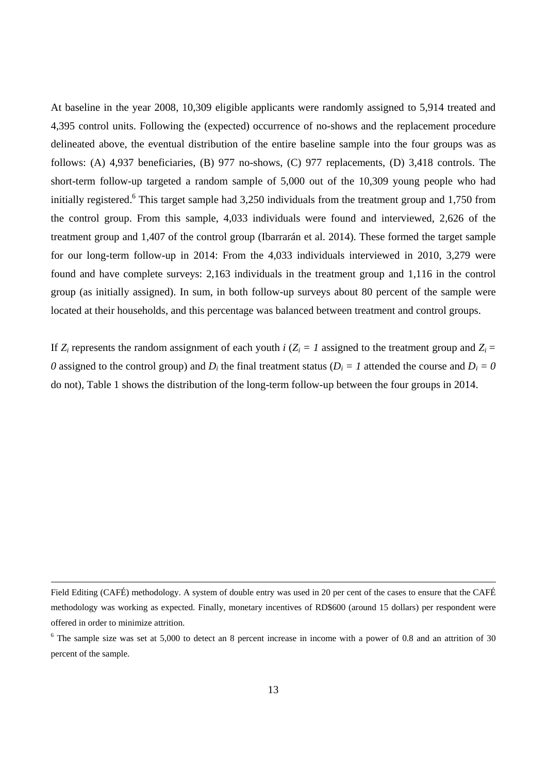At baseline in the year 2008, 10,309 eligible applicants were randomly assigned to 5,914 treated and 4,395 control units. Following the (expected) occurrence of no-shows and the replacement procedure delineated above, the eventual distribution of the entire baseline sample into the four groups was as follows: (A) 4,937 beneficiaries, (B) 977 no-shows, (C) 977 replacements, (D) 3,418 controls. The short-term follow-up targeted a random sample of 5,000 out of the 10,309 young people who had initially registered.<sup>6</sup> This target sample had 3,250 individuals from the treatment group and 1,750 from the control group. From this sample, 4,033 individuals were found and interviewed, 2,626 of the treatment group and 1,407 of the control group (Ibarrarán et al. 2014). These formed the target sample for our long-term follow-up in 2014: From the 4,033 individuals interviewed in 2010, 3,279 were found and have complete surveys: 2,163 individuals in the treatment group and 1,116 in the control group (as initially assigned). In sum, in both follow-up surveys about 80 percent of the sample were located at their households, and this percentage was balanced between treatment and control groups.

If  $Z_i$  represents the random assignment of each youth *i* ( $Z_i = 1$  assigned to the treatment group and  $Z_i =$ *0* assigned to the control group) and  $D_i$  the final treatment status ( $D_i = I$  attended the course and  $D_i = 0$ do not), Table 1 shows the distribution of the long-term follow-up between the four groups in 2014.

Field Editing (CAFÉ) methodology. A system of double entry was used in 20 per cent of the cases to ensure that the CAFÉ methodology was working as expected. Finally, monetary incentives of RD\$600 (around 15 dollars) per respondent were offered in order to minimize attrition.

 $6$  The sample size was set at 5,000 to detect an 8 percent increase in income with a power of 0.8 and an attrition of 30 percent of the sample.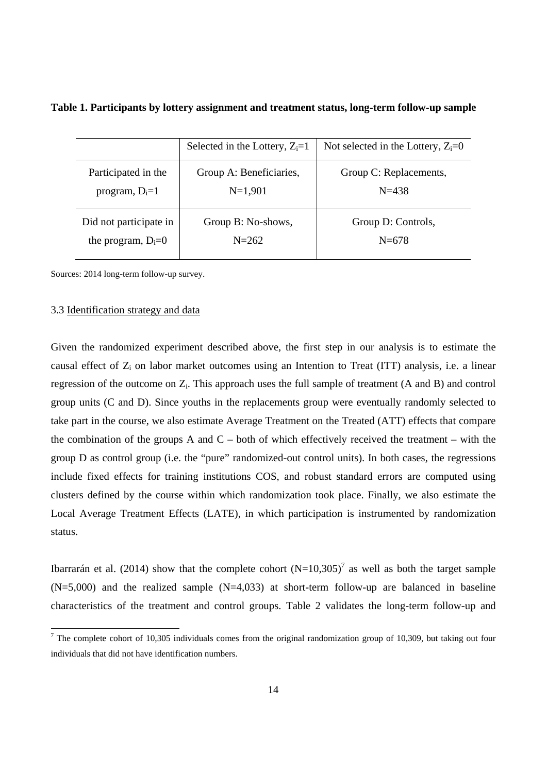|                        | Selected in the Lottery, $Z_i = 1$ | Not selected in the Lottery, $Z_i=0$ |
|------------------------|------------------------------------|--------------------------------------|
| Participated in the    | Group A: Beneficiaries,            | Group C: Replacements,               |
| program, $D_i=1$       | $N=1,901$                          | $N = 438$                            |
| Did not participate in | Group B: No-shows,                 | Group D: Controls,                   |
| the program, $D_i=0$   | $N = 262$                          | $N=678$                              |

**Table 1. Participants by lottery assignment and treatment status, long-term follow-up sample** 

Sources: 2014 long-term follow-up survey.

#### 3.3 Identification strategy and data

Given the randomized experiment described above, the first step in our analysis is to estimate the causal effect of  $Z_i$  on labor market outcomes using an Intention to Treat (ITT) analysis, i.e. a linear regression of the outcome on  $Z_i$ . This approach uses the full sample of treatment (A and B) and control group units (C and D). Since youths in the replacements group were eventually randomly selected to take part in the course, we also estimate Average Treatment on the Treated (ATT) effects that compare the combination of the groups A and  $C$  – both of which effectively received the treatment – with the group D as control group (i.e. the "pure" randomized-out control units). In both cases, the regressions include fixed effects for training institutions COS, and robust standard errors are computed using clusters defined by the course within which randomization took place. Finally, we also estimate the Local Average Treatment Effects (LATE), in which participation is instrumented by randomization status.

Ibarrarán et al. (2014) show that the complete cohort  $(N=10,305)^7$  as well as both the target sample  $(N=5,000)$  and the realized sample  $(N=4,033)$  at short-term follow-up are balanced in baseline characteristics of the treatment and control groups. Table 2 validates the long-term follow-up and

<sup>&</sup>lt;sup>7</sup> The complete cohort of 10,305 individuals comes from the original randomization group of 10,309, but taking out four individuals that did not have identification numbers.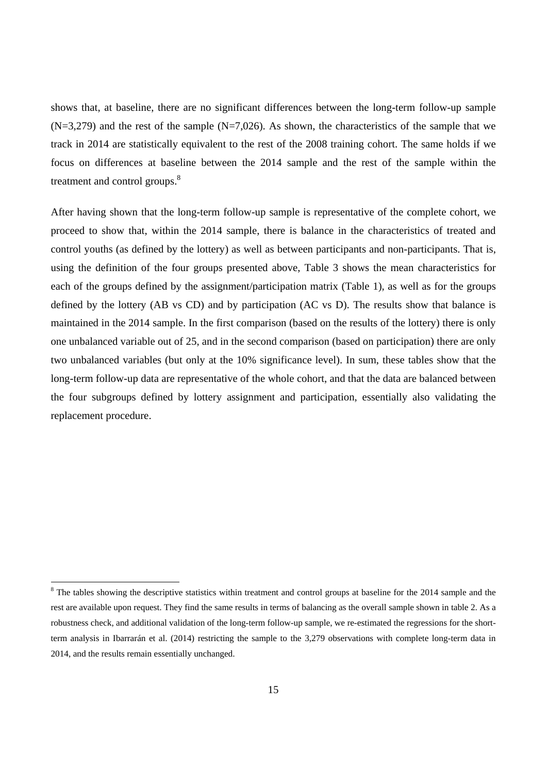shows that, at baseline, there are no significant differences between the long-term follow-up sample  $(N=3,279)$  and the rest of the sample  $(N=7,026)$ . As shown, the characteristics of the sample that we track in 2014 are statistically equivalent to the rest of the 2008 training cohort. The same holds if we focus on differences at baseline between the 2014 sample and the rest of the sample within the treatment and control groups.<sup>8</sup>

After having shown that the long-term follow-up sample is representative of the complete cohort, we proceed to show that, within the 2014 sample, there is balance in the characteristics of treated and control youths (as defined by the lottery) as well as between participants and non-participants. That is, using the definition of the four groups presented above, Table 3 shows the mean characteristics for each of the groups defined by the assignment/participation matrix (Table 1), as well as for the groups defined by the lottery (AB vs CD) and by participation (AC vs D). The results show that balance is maintained in the 2014 sample. In the first comparison (based on the results of the lottery) there is only one unbalanced variable out of 25, and in the second comparison (based on participation) there are only two unbalanced variables (but only at the 10% significance level). In sum, these tables show that the long-term follow-up data are representative of the whole cohort, and that the data are balanced between the four subgroups defined by lottery assignment and participation, essentially also validating the replacement procedure.

 $8$  The tables showing the descriptive statistics within treatment and control groups at baseline for the 2014 sample and the rest are available upon request. They find the same results in terms of balancing as the overall sample shown in table 2. As a robustness check, and additional validation of the long-term follow-up sample, we re-estimated the regressions for the shortterm analysis in Ibarrarán et al. (2014) restricting the sample to the 3,279 observations with complete long-term data in 2014, and the results remain essentially unchanged.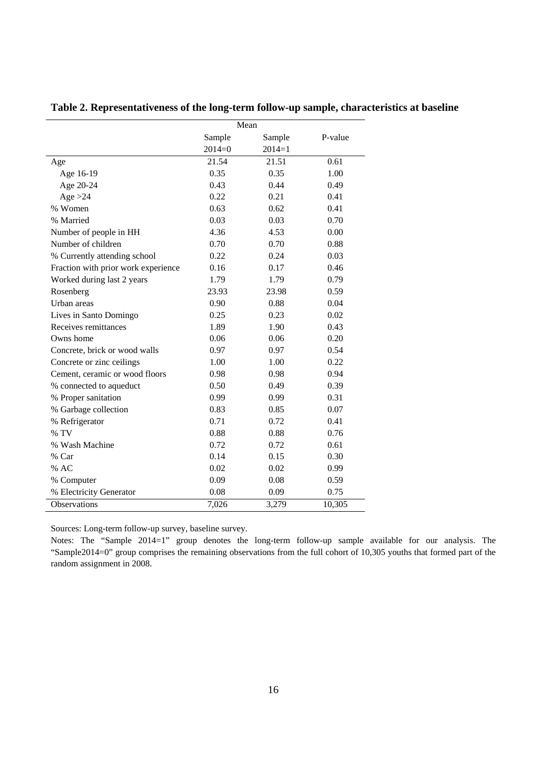**Table 2. Representativeness of the long-term follow-up sample, characteristics at baseline** 

|                                     |          | Mean     |         |
|-------------------------------------|----------|----------|---------|
|                                     | Sample   | Sample   | P-value |
|                                     | $2014=0$ | $2014=1$ |         |
| Age                                 | 21.54    | 21.51    | 0.61    |
| Age 16-19                           | 0.35     | 0.35     | 1.00    |
| Age 20-24                           | 0.43     | 0.44     | 0.49    |
| Age $>24$                           | 0.22     | 0.21     | 0.41    |
| % Women                             | 0.63     | 0.62     | 0.41    |
| % Married                           | 0.03     | 0.03     | 0.70    |
| Number of people in HH              | 4.36     | 4.53     | 0.00    |
| Number of children                  | 0.70     | 0.70     | 0.88    |
| % Currently attending school        | 0.22     | 0.24     | 0.03    |
| Fraction with prior work experience | 0.16     | 0.17     | 0.46    |
| Worked during last 2 years          | 1.79     | 1.79     | 0.79    |
| Rosenberg                           | 23.93    | 23.98    | 0.59    |
| Urban areas                         | 0.90     | 0.88     | 0.04    |
| Lives in Santo Domingo              | 0.25     | 0.23     | 0.02    |
| Receives remittances                | 1.89     | 1.90     | 0.43    |
| Owns home                           | 0.06     | 0.06     | 0.20    |
| Concrete, brick or wood walls       | 0.97     | 0.97     | 0.54    |
| Concrete or zinc ceilings           | 1.00     | 1.00     | 0.22    |
| Cement, ceramic or wood floors      | 0.98     | 0.98     | 0.94    |
| % connected to aqueduct             | 0.50     | 0.49     | 0.39    |
| % Proper sanitation                 | 0.99     | 0.99     | 0.31    |
| % Garbage collection                | 0.83     | 0.85     | 0.07    |
| % Refrigerator                      | 0.71     | 0.72     | 0.41    |
| % TV                                | 0.88     | 0.88     | 0.76    |
| % Wash Machine                      | 0.72     | 0.72     | 0.61    |
| % Car                               | 0.14     | 0.15     | 0.30    |
| % AC                                | 0.02     | 0.02     | 0.99    |
| % Computer                          | 0.09     | 0.08     | 0.59    |
| % Electricity Generator             | 0.08     | 0.09     | 0.75    |
| Observations                        | 7,026    | 3,279    | 10,305  |

Sources: Long-term follow-up survey, baseline survey.

Notes: The "Sample 2014=1" group denotes the long-term follow-up sample available for our analysis. The "Sample2014=0" group comprises the remaining observations from the full cohort of 10,305 youths that formed part of the random assignment in 2008.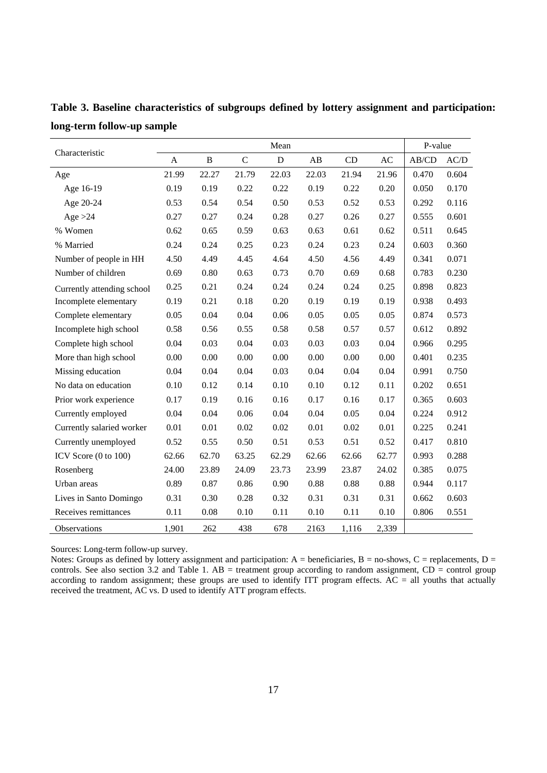|                                 |       |          | P-value     |           |       |       |       |       |       |
|---------------------------------|-------|----------|-------------|-----------|-------|-------|-------|-------|-------|
| Characteristic                  | A     | $\bf{B}$ | $\mathbf C$ | ${\bf D}$ | AB    | CD    | AC    | AB/CD | AC/D  |
| Age                             | 21.99 | 22.27    | 21.79       | 22.03     | 22.03 | 21.94 | 21.96 | 0.470 | 0.604 |
| Age 16-19                       | 0.19  | 0.19     | 0.22        | 0.22      | 0.19  | 0.22  | 0.20  | 0.050 | 0.170 |
| Age 20-24                       | 0.53  | 0.54     | 0.54        | 0.50      | 0.53  | 0.52  | 0.53  | 0.292 | 0.116 |
| Age $>24$                       | 0.27  | 0.27     | 0.24        | 0.28      | 0.27  | 0.26  | 0.27  | 0.555 | 0.601 |
| % Women                         | 0.62  | 0.65     | 0.59        | 0.63      | 0.63  | 0.61  | 0.62  | 0.511 | 0.645 |
| % Married                       | 0.24  | 0.24     | 0.25        | 0.23      | 0.24  | 0.23  | 0.24  | 0.603 | 0.360 |
| Number of people in HH          | 4.50  | 4.49     | 4.45        | 4.64      | 4.50  | 4.56  | 4.49  | 0.341 | 0.071 |
| Number of children              | 0.69  | 0.80     | 0.63        | 0.73      | 0.70  | 0.69  | 0.68  | 0.783 | 0.230 |
| Currently attending school      | 0.25  | 0.21     | 0.24        | 0.24      | 0.24  | 0.24  | 0.25  | 0.898 | 0.823 |
| Incomplete elementary           | 0.19  | 0.21     | 0.18        | 0.20      | 0.19  | 0.19  | 0.19  | 0.938 | 0.493 |
| Complete elementary             | 0.05  | 0.04     | 0.04        | 0.06      | 0.05  | 0.05  | 0.05  | 0.874 | 0.573 |
| Incomplete high school          | 0.58  | 0.56     | 0.55        | 0.58      | 0.58  | 0.57  | 0.57  | 0.612 | 0.892 |
| Complete high school            | 0.04  | 0.03     | 0.04        | 0.03      | 0.03  | 0.03  | 0.04  | 0.966 | 0.295 |
| More than high school           | 0.00  | 0.00     | 0.00        | 0.00      | 0.00  | 0.00  | 0.00  | 0.401 | 0.235 |
| Missing education               | 0.04  | 0.04     | 0.04        | 0.03      | 0.04  | 0.04  | 0.04  | 0.991 | 0.750 |
| No data on education            | 0.10  | 0.12     | 0.14        | 0.10      | 0.10  | 0.12  | 0.11  | 0.202 | 0.651 |
| Prior work experience           | 0.17  | 0.19     | 0.16        | 0.16      | 0.17  | 0.16  | 0.17  | 0.365 | 0.603 |
| Currently employed              | 0.04  | 0.04     | 0.06        | 0.04      | 0.04  | 0.05  | 0.04  | 0.224 | 0.912 |
| Currently salaried worker       | 0.01  | $0.01\,$ | $0.02\,$    | $0.02\,$  | 0.01  | 0.02  | 0.01  | 0.225 | 0.241 |
| Currently unemployed            | 0.52  | 0.55     | 0.50        | 0.51      | 0.53  | 0.51  | 0.52  | 0.417 | 0.810 |
| ICV Score $(0 \text{ to } 100)$ | 62.66 | 62.70    | 63.25       | 62.29     | 62.66 | 62.66 | 62.77 | 0.993 | 0.288 |
| Rosenberg                       | 24.00 | 23.89    | 24.09       | 23.73     | 23.99 | 23.87 | 24.02 | 0.385 | 0.075 |
| Urban areas                     | 0.89  | 0.87     | 0.86        | 0.90      | 0.88  | 0.88  | 0.88  | 0.944 | 0.117 |
| Lives in Santo Domingo          | 0.31  | 0.30     | 0.28        | 0.32      | 0.31  | 0.31  | 0.31  | 0.662 | 0.603 |
| Receives remittances            | 0.11  | 0.08     | 0.10        | 0.11      | 0.10  | 0.11  | 0.10  | 0.806 | 0.551 |
| Observations                    | 1,901 | 262      | 438         | 678       | 2163  | 1,116 | 2,339 |       |       |

**Table 3. Baseline characteristics of subgroups defined by lottery assignment and participation: long-term follow-up sample** 

Sources: Long-term follow-up survey.

Notes: Groups as defined by lottery assignment and participation:  $A =$  beneficiaries,  $B =$  no-shows,  $C =$  replacements,  $D =$ controls. See also section 3.2 and Table 1. AB = treatment group according to random assignment,  $CD =$  control group according to random assignment; these groups are used to identify ITT program effects. AC = all youths that actually received the treatment, AC vs. D used to identify ATT program effects.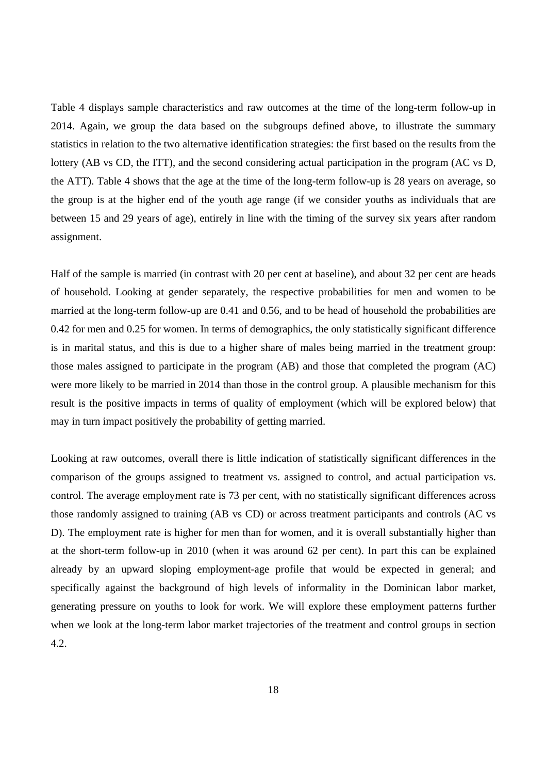Table 4 displays sample characteristics and raw outcomes at the time of the long-term follow-up in 2014. Again, we group the data based on the subgroups defined above, to illustrate the summary statistics in relation to the two alternative identification strategies: the first based on the results from the lottery (AB vs CD, the ITT), and the second considering actual participation in the program (AC vs D, the ATT). Table 4 shows that the age at the time of the long-term follow-up is 28 years on average, so the group is at the higher end of the youth age range (if we consider youths as individuals that are between 15 and 29 years of age), entirely in line with the timing of the survey six years after random assignment.

Half of the sample is married (in contrast with 20 per cent at baseline), and about 32 per cent are heads of household. Looking at gender separately, the respective probabilities for men and women to be married at the long-term follow-up are 0.41 and 0.56, and to be head of household the probabilities are 0.42 for men and 0.25 for women. In terms of demographics, the only statistically significant difference is in marital status, and this is due to a higher share of males being married in the treatment group: those males assigned to participate in the program (AB) and those that completed the program (AC) were more likely to be married in 2014 than those in the control group. A plausible mechanism for this result is the positive impacts in terms of quality of employment (which will be explored below) that may in turn impact positively the probability of getting married.

Looking at raw outcomes, overall there is little indication of statistically significant differences in the comparison of the groups assigned to treatment vs. assigned to control, and actual participation vs. control. The average employment rate is 73 per cent, with no statistically significant differences across those randomly assigned to training (AB vs CD) or across treatment participants and controls (AC vs D). The employment rate is higher for men than for women, and it is overall substantially higher than at the short-term follow-up in 2010 (when it was around 62 per cent). In part this can be explained already by an upward sloping employment-age profile that would be expected in general; and specifically against the background of high levels of informality in the Dominican labor market, generating pressure on youths to look for work. We will explore these employment patterns further when we look at the long-term labor market trajectories of the treatment and control groups in section 4.2.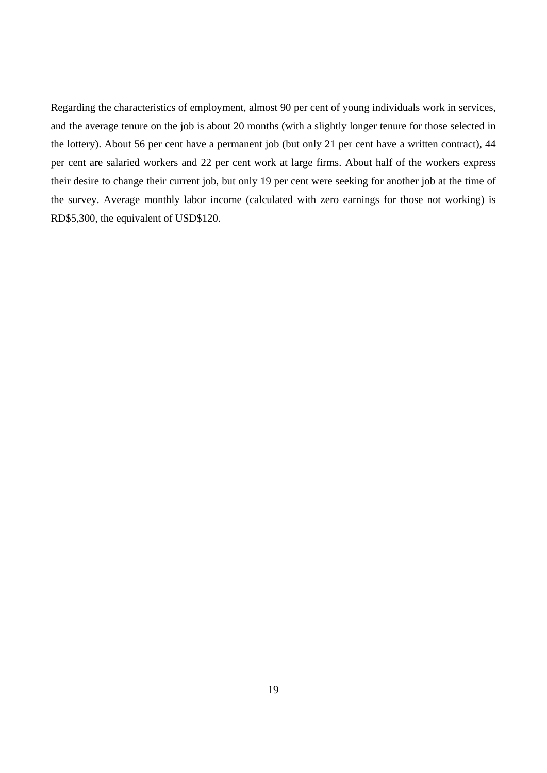Regarding the characteristics of employment, almost 90 per cent of young individuals work in services, and the average tenure on the job is about 20 months (with a slightly longer tenure for those selected in the lottery). About 56 per cent have a permanent job (but only 21 per cent have a written contract), 44 per cent are salaried workers and 22 per cent work at large firms. About half of the workers express their desire to change their current job, but only 19 per cent were seeking for another job at the time of the survey. Average monthly labor income (calculated with zero earnings for those not working) is RD\$5,300, the equivalent of USD\$120.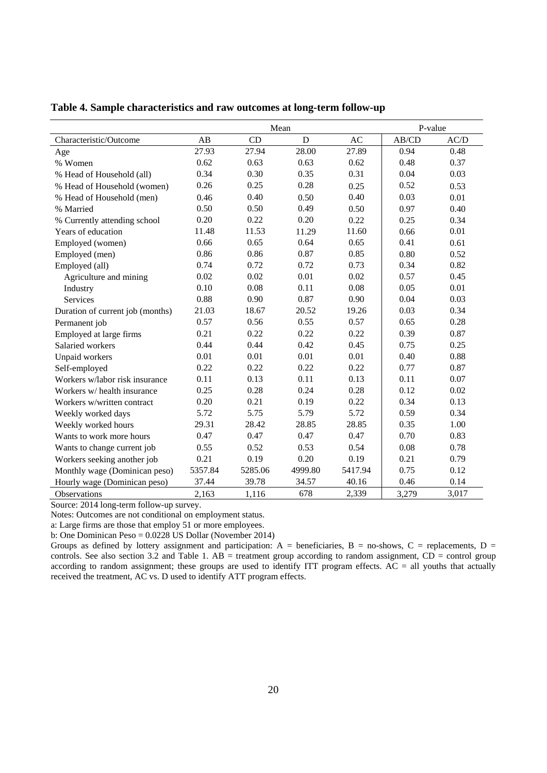|                                  |         | Mean    |         | P-value |       |       |
|----------------------------------|---------|---------|---------|---------|-------|-------|
| Characteristic/Outcome           | AB      | CD      | D       | AC      | AB/CD | AC/D  |
| Age                              | 27.93   | 27.94   | 28.00   | 27.89   | 0.94  | 0.48  |
| % Women                          | 0.62    | 0.63    | 0.63    | 0.62    | 0.48  | 0.37  |
| % Head of Household (all)        | 0.34    | 0.30    | 0.35    | 0.31    | 0.04  | 0.03  |
| % Head of Household (women)      | 0.26    | 0.25    | 0.28    | 0.25    | 0.52  | 0.53  |
| % Head of Household (men)        | 0.46    | 0.40    | 0.50    | 0.40    | 0.03  | 0.01  |
| % Married                        | 0.50    | 0.50    | 0.49    | 0.50    | 0.97  | 0.40  |
| % Currently attending school     | 0.20    | 0.22    | 0.20    | 0.22    | 0.25  | 0.34  |
| Years of education               | 11.48   | 11.53   | 11.29   | 11.60   | 0.66  | 0.01  |
| Employed (women)                 | 0.66    | 0.65    | 0.64    | 0.65    | 0.41  | 0.61  |
| Employed (men)                   | 0.86    | 0.86    | 0.87    | 0.85    | 0.80  | 0.52  |
| Employed (all)                   | 0.74    | 0.72    | 0.72    | 0.73    | 0.34  | 0.82  |
| Agriculture and mining           | 0.02    | 0.02    | 0.01    | 0.02    | 0.57  | 0.45  |
| Industry                         | 0.10    | 0.08    | 0.11    | 0.08    | 0.05  | 0.01  |
| <b>Services</b>                  | 0.88    | 0.90    | 0.87    | 0.90    | 0.04  | 0.03  |
| Duration of current job (months) | 21.03   | 18.67   | 20.52   | 19.26   | 0.03  | 0.34  |
| Permanent job                    | 0.57    | 0.56    | 0.55    | 0.57    | 0.65  | 0.28  |
| Employed at large firms          | 0.21    | 0.22    | 0.22    | 0.22    | 0.39  | 0.87  |
| Salaried workers                 | 0.44    | 0.44    | 0.42    | 0.45    | 0.75  | 0.25  |
| Unpaid workers                   | 0.01    | 0.01    | 0.01    | 0.01    | 0.40  | 0.88  |
| Self-employed                    | 0.22    | 0.22    | 0.22    | 0.22    | 0.77  | 0.87  |
| Workers w/labor risk insurance   | 0.11    | 0.13    | 0.11    | 0.13    | 0.11  | 0.07  |
| Workers w/ health insurance      | 0.25    | 0.28    | 0.24    | 0.28    | 0.12  | 0.02  |
| Workers w/written contract       | 0.20    | 0.21    | 0.19    | 0.22    | 0.34  | 0.13  |
| Weekly worked days               | 5.72    | 5.75    | 5.79    | 5.72    | 0.59  | 0.34  |
| Weekly worked hours              | 29.31   | 28.42   | 28.85   | 28.85   | 0.35  | 1.00  |
| Wants to work more hours         | 0.47    | 0.47    | 0.47    | 0.47    | 0.70  | 0.83  |
| Wants to change current job      | 0.55    | 0.52    | 0.53    | 0.54    | 0.08  | 0.78  |
| Workers seeking another job      | 0.21    | 0.19    | 0.20    | 0.19    | 0.21  | 0.79  |
| Monthly wage (Dominican peso)    | 5357.84 | 5285.06 | 4999.80 | 5417.94 | 0.75  | 0.12  |
| Hourly wage (Dominican peso)     | 37.44   | 39.78   | 34.57   | 40.16   | 0.46  | 0.14  |
| <b>Observations</b>              | 2,163   | 1,116   | 678     | 2,339   | 3,279 | 3,017 |

**Table 4. Sample characteristics and raw outcomes at long-term follow-up** 

Source: 2014 long-term follow-up survey.

Notes: Outcomes are not conditional on employment status.

a: Large firms are those that employ 51 or more employees.

b: One Dominican Peso = 0.0228 US Dollar (November 2014)

Groups as defined by lottery assignment and participation:  $A =$  beneficiaries,  $B =$  no-shows,  $C =$  replacements,  $D =$ controls. See also section 3.2 and Table 1.  $AB$  = treatment group according to random assignment,  $CD$  = control group according to random assignment; these groups are used to identify ITT program effects.  $AC = all$  youths that actually received the treatment, AC vs. D used to identify ATT program effects.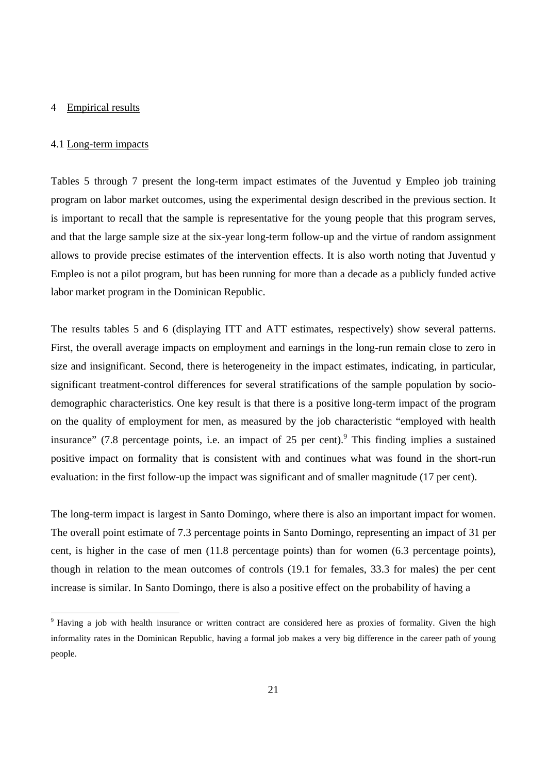#### 4 Empirical results

#### 4.1 Long-term impacts

 $\overline{a}$ 

Tables 5 through 7 present the long-term impact estimates of the Juventud y Empleo job training program on labor market outcomes, using the experimental design described in the previous section. It is important to recall that the sample is representative for the young people that this program serves, and that the large sample size at the six-year long-term follow-up and the virtue of random assignment allows to provide precise estimates of the intervention effects. It is also worth noting that Juventud y Empleo is not a pilot program, but has been running for more than a decade as a publicly funded active labor market program in the Dominican Republic.

The results tables 5 and 6 (displaying ITT and ATT estimates, respectively) show several patterns. First, the overall average impacts on employment and earnings in the long-run remain close to zero in size and insignificant. Second, there is heterogeneity in the impact estimates, indicating, in particular, significant treatment-control differences for several stratifications of the sample population by sociodemographic characteristics. One key result is that there is a positive long-term impact of the program on the quality of employment for men, as measured by the job characteristic "employed with health insurance" (7.8 percentage points, i.e. an impact of 25 per cent). This finding implies a sustained positive impact on formality that is consistent with and continues what was found in the short-run evaluation: in the first follow-up the impact was significant and of smaller magnitude (17 per cent).

The long-term impact is largest in Santo Domingo, where there is also an important impact for women. The overall point estimate of 7.3 percentage points in Santo Domingo, representing an impact of 31 per cent, is higher in the case of men (11.8 percentage points) than for women (6.3 percentage points), though in relation to the mean outcomes of controls (19.1 for females, 33.3 for males) the per cent increase is similar. In Santo Domingo, there is also a positive effect on the probability of having a

<sup>&</sup>lt;sup>9</sup> Having a job with health insurance or written contract are considered here as proxies of formality. Given the high informality rates in the Dominican Republic, having a formal job makes a very big difference in the career path of young people.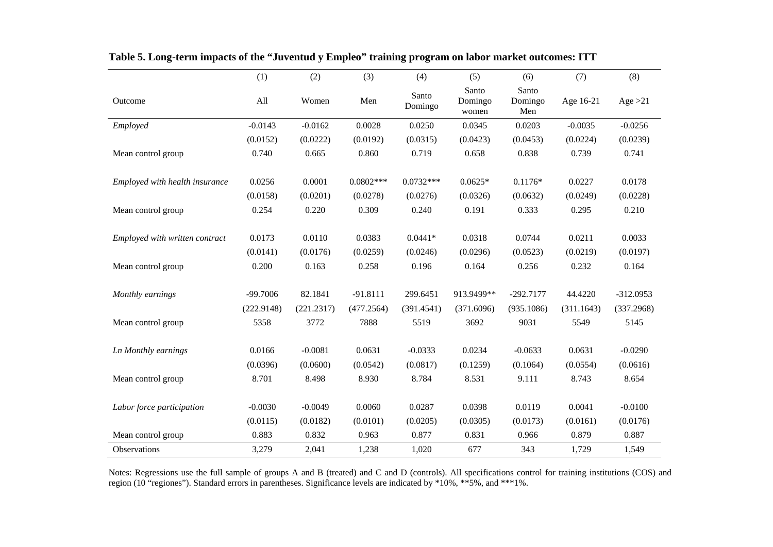|                                | (1)                | (2)                | (3)                | (4)                | (5)                       | (6)                     | (7)                | (8)                |
|--------------------------------|--------------------|--------------------|--------------------|--------------------|---------------------------|-------------------------|--------------------|--------------------|
| Outcome                        | All                | Women              | Men                | Santo<br>Domingo   | Santo<br>Domingo<br>women | Santo<br>Domingo<br>Men | Age 16-21          | Age $>21$          |
| Employed                       | $-0.0143$          | $-0.0162$          | 0.0028             | 0.0250             | 0.0345                    | 0.0203                  | $-0.0035$          | $-0.0256$          |
|                                | (0.0152)           | (0.0222)           | (0.0192)           | (0.0315)           | (0.0423)                  | (0.0453)                | (0.0224)           | (0.0239)           |
| Mean control group             | 0.740              | 0.665              | 0.860              | 0.719              | 0.658                     | 0.838                   | 0.739              | 0.741              |
| Employed with health insurance | 0.0256             | 0.0001             | $0.0802***$        | $0.0732***$        | $0.0625*$                 | $0.1176*$               | 0.0227             | 0.0178             |
|                                | (0.0158)           | (0.0201)           | (0.0278)           | (0.0276)           | (0.0326)                  | (0.0632)                | (0.0249)           | (0.0228)           |
| Mean control group             | 0.254              | 0.220              | 0.309              | 0.240              | 0.191                     | 0.333                   | 0.295              | 0.210              |
| Employed with written contract | 0.0173             | 0.0110             | 0.0383             | $0.0441*$          | 0.0318                    | 0.0744                  | 0.0211             | 0.0033             |
|                                | (0.0141)           | (0.0176)           | (0.0259)           | (0.0246)           | (0.0296)                  | (0.0523)                | (0.0219)           | (0.0197)           |
| Mean control group             | 0.200              | 0.163              | 0.258              | 0.196              | 0.164                     | 0.256                   | 0.232              | 0.164              |
| Monthly earnings               | $-99.7006$         | 82.1841            | $-91.8111$         | 299.6451           | 913.9499**                | $-292.7177$             | 44.4220            | $-312.0953$        |
|                                |                    |                    |                    |                    |                           |                         |                    |                    |
| Mean control group             | (222.9148)<br>5358 | (221.2317)<br>3772 | (477.2564)<br>7888 | (391.4541)<br>5519 | (371.6096)<br>3692        | (935.1086)<br>9031      | (311.1643)<br>5549 | (337.2968)<br>5145 |
| Ln Monthly earnings            | 0.0166             | $-0.0081$          | 0.0631             | $-0.0333$          | 0.0234                    | $-0.0633$               | 0.0631             | $-0.0290$          |
|                                | (0.0396)           | (0.0600)           | (0.0542)           | (0.0817)           | (0.1259)                  | (0.1064)                | (0.0554)           | (0.0616)           |
| Mean control group             | 8.701              | 8.498              | 8.930              | 8.784              | 8.531                     | 9.111                   | 8.743              | 8.654              |
| Labor force participation      | $-0.0030$          | $-0.0049$          | 0.0060             | 0.0287             | 0.0398                    | 0.0119                  | 0.0041             | $-0.0100$          |
|                                | (0.0115)           | (0.0182)           | (0.0101)           | (0.0205)           | (0.0305)                  | (0.0173)                | (0.0161)           | (0.0176)           |
| Mean control group             | 0.883              | 0.832              | 0.963              | 0.877              | 0.831                     | 0.966                   | 0.879              | 0.887              |
| <b>Observations</b>            | 3,279              | 2,041              | 1,238              | 1,020              | 677                       | 343                     | 1,729              | 1,549              |

**Table 5. Long-term impacts of the "Juventud y Empleo" training program on labor market outcomes: ITT** 

Notes: Regressions use the full sample of groups A and B (treated) and C and D (controls). All specifications control for training institutions (COS) and region (10 "regiones"). Standard errors in parentheses. Significance levels are indicated by \*10%, \*\*5%, and \*\*\*1%.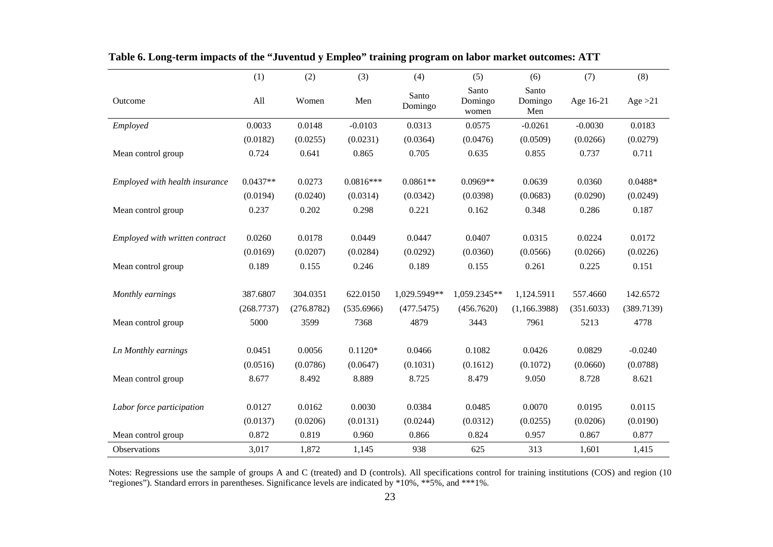|                                | (1)        | (2)        | (3)         | (4)              | (5)                       | (6)                     | (7)        | (8)        |
|--------------------------------|------------|------------|-------------|------------------|---------------------------|-------------------------|------------|------------|
| Outcome                        | All        | Women      | Men         | Santo<br>Domingo | Santo<br>Domingo<br>women | Santo<br>Domingo<br>Men | Age 16-21  | Age $>21$  |
| Employed                       | 0.0033     | 0.0148     | $-0.0103$   | 0.0313           | 0.0575                    | $-0.0261$               | $-0.0030$  | 0.0183     |
|                                | (0.0182)   | (0.0255)   | (0.0231)    | (0.0364)         | (0.0476)                  | (0.0509)                | (0.0266)   | (0.0279)   |
| Mean control group             | 0.724      | 0.641      | 0.865       | 0.705            | 0.635                     | 0.855                   | 0.737      | 0.711      |
| Employed with health insurance | $0.0437**$ | 0.0273     | $0.0816***$ | $0.0861**$       | $0.0969**$                | 0.0639                  | 0.0360     | $0.0488*$  |
|                                | (0.0194)   | (0.0240)   | (0.0314)    | (0.0342)         | (0.0398)                  | (0.0683)                | (0.0290)   | (0.0249)   |
| Mean control group             | 0.237      | 0.202      | 0.298       | 0.221            | 0.162                     | 0.348                   | 0.286      | 0.187      |
| Employed with written contract | 0.0260     | 0.0178     | 0.0449      | 0.0447           | 0.0407                    | 0.0315                  | 0.0224     | 0.0172     |
|                                | (0.0169)   | (0.0207)   | (0.0284)    | (0.0292)         | (0.0360)                  | (0.0566)                | (0.0266)   | (0.0226)   |
| Mean control group             | 0.189      | 0.155      | 0.246       | 0.189            | 0.155                     | 0.261                   | 0.225      | 0.151      |
| Monthly earnings               | 387.6807   | 304.0351   | 622.0150    | 1,029.5949**     | 1,059.2345**              | 1,124.5911              | 557.4660   | 142.6572   |
|                                | (268.7737) | (276.8782) | (535.6966)  | (477.5475)       | (456.7620)                | (1,166.3988)            | (351.6033) | (389.7139) |
| Mean control group             | 5000       | 3599       | 7368        | 4879             | 3443                      | 7961                    | 5213       | 4778       |
| Ln Monthly earnings            | 0.0451     | 0.0056     | $0.1120*$   | 0.0466           | 0.1082                    | 0.0426                  | 0.0829     | $-0.0240$  |
|                                | (0.0516)   | (0.0786)   | (0.0647)    | (0.1031)         | (0.1612)                  | (0.1072)                | (0.0660)   | (0.0788)   |
| Mean control group             | 8.677      | 8.492      | 8.889       | 8.725            | 8.479                     | 9.050                   | 8.728      | 8.621      |
|                                |            |            |             |                  |                           |                         |            |            |
| Labor force participation      | 0.0127     | 0.0162     | 0.0030      | 0.0384           | 0.0485                    | 0.0070                  | 0.0195     | 0.0115     |
|                                | (0.0137)   | (0.0206)   | (0.0131)    | (0.0244)         | (0.0312)                  | (0.0255)                | (0.0206)   | (0.0190)   |
| Mean control group             | 0.872      | 0.819      | 0.960       | 0.866            | 0.824                     | 0.957                   | 0.867      | 0.877      |
| Observations                   | 3,017      | 1,872      | 1,145       | 938              | 625                       | 313                     | 1,601      | 1,415      |

**Table 6. Long-term impacts of the "Juventud y Empleo" training program on labor market outcomes: ATT** 

Notes: Regressions use the sample of groups A and C (treated) and D (controls). All specifications control for training institutions (COS) and region (10 "regiones"). Standard errors in parentheses. Significance levels are indicated by \*10%, \*\*5%, and \*\*\*1%.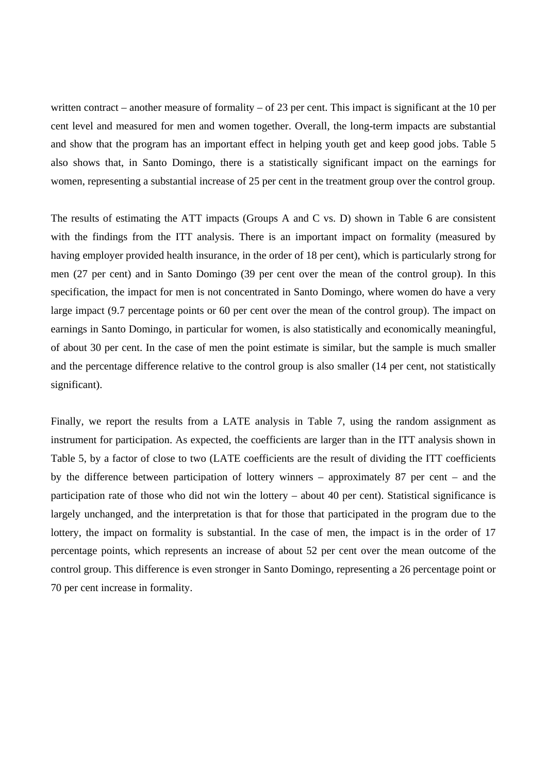written contract – another measure of formality – of 23 per cent. This impact is significant at the 10 per cent level and measured for men and women together. Overall, the long-term impacts are substantial and show that the program has an important effect in helping youth get and keep good jobs. Table 5 also shows that, in Santo Domingo, there is a statistically significant impact on the earnings for women, representing a substantial increase of 25 per cent in the treatment group over the control group.

The results of estimating the ATT impacts (Groups A and C vs. D) shown in Table 6 are consistent with the findings from the ITT analysis. There is an important impact on formality (measured by having employer provided health insurance, in the order of 18 per cent), which is particularly strong for men (27 per cent) and in Santo Domingo (39 per cent over the mean of the control group). In this specification, the impact for men is not concentrated in Santo Domingo, where women do have a very large impact (9.7 percentage points or 60 per cent over the mean of the control group). The impact on earnings in Santo Domingo, in particular for women, is also statistically and economically meaningful, of about 30 per cent. In the case of men the point estimate is similar, but the sample is much smaller and the percentage difference relative to the control group is also smaller (14 per cent, not statistically significant).

Finally, we report the results from a LATE analysis in Table 7, using the random assignment as instrument for participation. As expected, the coefficients are larger than in the ITT analysis shown in Table 5, by a factor of close to two (LATE coefficients are the result of dividing the ITT coefficients by the difference between participation of lottery winners – approximately 87 per cent – and the participation rate of those who did not win the lottery – about 40 per cent). Statistical significance is largely unchanged, and the interpretation is that for those that participated in the program due to the lottery, the impact on formality is substantial. In the case of men, the impact is in the order of 17 percentage points, which represents an increase of about 52 per cent over the mean outcome of the control group. This difference is even stronger in Santo Domingo, representing a 26 percentage point or 70 per cent increase in formality.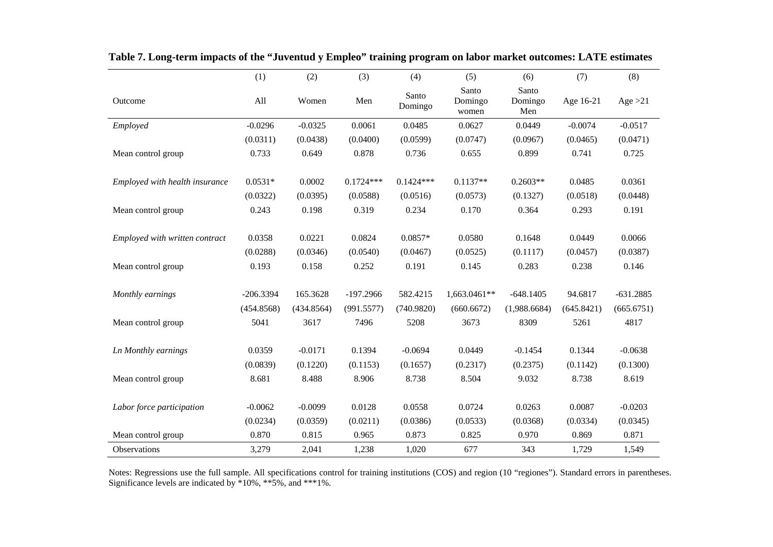|                                | (1)         | (2)        | (3)         | (4)              | (5)                       | (6)                     | (7)        | (8)         |
|--------------------------------|-------------|------------|-------------|------------------|---------------------------|-------------------------|------------|-------------|
| Outcome                        | All         | Women      | Men         | Santo<br>Domingo | Santo<br>Domingo<br>women | Santo<br>Domingo<br>Men | Age 16-21  | Age $>21$   |
| Employed                       | $-0.0296$   | $-0.0325$  | 0.0061      | 0.0485           | 0.0627                    | 0.0449                  | $-0.0074$  | $-0.0517$   |
|                                | (0.0311)    | (0.0438)   | (0.0400)    | (0.0599)         | (0.0747)                  | (0.0967)                | (0.0465)   | (0.0471)    |
| Mean control group             | 0.733       | 0.649      | 0.878       | 0.736            | 0.655                     | 0.899                   | 0.741      | 0.725       |
|                                |             |            |             |                  |                           |                         |            |             |
| Employed with health insurance | $0.0531*$   | 0.0002     | $0.1724***$ | $0.1424***$      | $0.1137**$                | $0.2603**$              | 0.0485     | 0.0361      |
|                                | (0.0322)    | (0.0395)   | (0.0588)    | (0.0516)         | (0.0573)                  | (0.1327)                | (0.0518)   | (0.0448)    |
| Mean control group             | 0.243       | 0.198      | 0.319       | 0.234            | 0.170                     | 0.364                   | 0.293      | 0.191       |
|                                |             |            |             |                  |                           |                         |            |             |
| Employed with written contract | 0.0358      | 0.0221     | 0.0824      | $0.0857*$        | 0.0580                    | 0.1648                  | 0.0449     | 0.0066      |
|                                | (0.0288)    | (0.0346)   | (0.0540)    | (0.0467)         | (0.0525)                  | (0.1117)                | (0.0457)   | (0.0387)    |
| Mean control group             | 0.193       | 0.158      | 0.252       | 0.191            | 0.145                     | 0.283                   | 0.238      | 0.146       |
|                                |             |            |             |                  |                           |                         |            |             |
| Monthly earnings               | $-206.3394$ | 165.3628   | $-197.2966$ | 582.4215         | 1,663.0461**              | $-648.1405$             | 94.6817    | $-631.2885$ |
|                                | (454.8568)  | (434.8564) | (991.5577)  | (740.9820)       | (660.6672)                | (1,988.6684)            | (645.8421) | (665.6751)  |
| Mean control group             | 5041        | 3617       | 7496        | 5208             | 3673                      | 8309                    | 5261       | 4817        |
|                                |             |            | 0.1394      |                  |                           |                         | 0.1344     |             |
| Ln Monthly earnings            | 0.0359      | $-0.0171$  |             | $-0.0694$        | 0.0449                    | $-0.1454$               |            | $-0.0638$   |
|                                | (0.0839)    | (0.1220)   | (0.1153)    | (0.1657)         | (0.2317)                  | (0.2375)                | (0.1142)   | (0.1300)    |
| Mean control group             | 8.681       | 8.488      | 8.906       | 8.738            | 8.504                     | 9.032                   | 8.738      | 8.619       |
| Labor force participation      | $-0.0062$   | $-0.0099$  | 0.0128      | 0.0558           | 0.0724                    | 0.0263                  | 0.0087     | $-0.0203$   |
|                                | (0.0234)    | (0.0359)   | (0.0211)    | (0.0386)         | (0.0533)                  | (0.0368)                | (0.0334)   | (0.0345)    |
| Mean control group             | 0.870       | 0.815      | 0.965       | 0.873            | 0.825                     | 0.970                   | 0.869      | 0.871       |
| Observations                   | 3,279       | 2,041      | 1,238       | 1,020            | 677                       | 343                     | 1,729      | 1,549       |

**Table 7. Long-term impacts of the "Juventud y Empleo" training program on labor market outcomes: LATE estimates** 

Notes: Regressions use the full sample. All specifications control for training institutions (COS) and region (10 "regiones"). Standard errors in parentheses. Significance levels are indicated by \*10%, \*\*5%, and \*\*\*1%.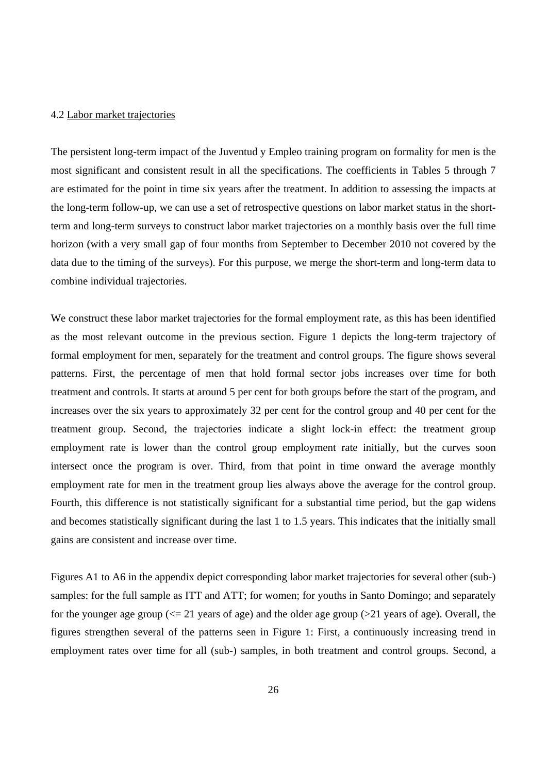#### 4.2 Labor market trajectories

The persistent long-term impact of the Juventud y Empleo training program on formality for men is the most significant and consistent result in all the specifications. The coefficients in Tables 5 through 7 are estimated for the point in time six years after the treatment. In addition to assessing the impacts at the long-term follow-up, we can use a set of retrospective questions on labor market status in the shortterm and long-term surveys to construct labor market trajectories on a monthly basis over the full time horizon (with a very small gap of four months from September to December 2010 not covered by the data due to the timing of the surveys). For this purpose, we merge the short-term and long-term data to combine individual trajectories.

We construct these labor market trajectories for the formal employment rate, as this has been identified as the most relevant outcome in the previous section. Figure 1 depicts the long-term trajectory of formal employment for men, separately for the treatment and control groups. The figure shows several patterns. First, the percentage of men that hold formal sector jobs increases over time for both treatment and controls. It starts at around 5 per cent for both groups before the start of the program, and increases over the six years to approximately 32 per cent for the control group and 40 per cent for the treatment group. Second, the trajectories indicate a slight lock-in effect: the treatment group employment rate is lower than the control group employment rate initially, but the curves soon intersect once the program is over. Third, from that point in time onward the average monthly employment rate for men in the treatment group lies always above the average for the control group. Fourth, this difference is not statistically significant for a substantial time period, but the gap widens and becomes statistically significant during the last 1 to 1.5 years. This indicates that the initially small gains are consistent and increase over time.

Figures A1 to A6 in the appendix depict corresponding labor market trajectories for several other (sub-) samples: for the full sample as ITT and ATT; for women; for youths in Santo Domingo; and separately for the younger age group  $\ll$  21 years of age) and the older age group  $\ll$  21 years of age). Overall, the figures strengthen several of the patterns seen in Figure 1: First, a continuously increasing trend in employment rates over time for all (sub-) samples, in both treatment and control groups. Second, a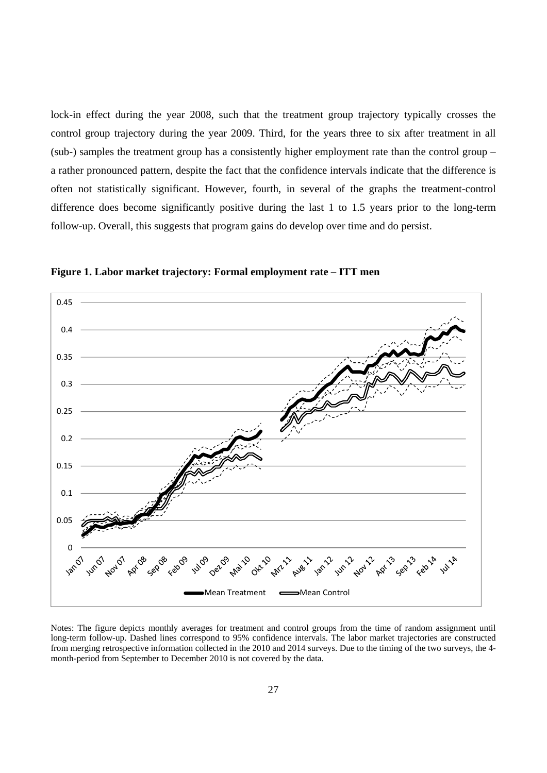lock-in effect during the year 2008, such that the treatment group trajectory typically crosses the control group trajectory during the year 2009. Third, for the years three to six after treatment in all (sub-) samples the treatment group has a consistently higher employment rate than the control group – a rather pronounced pattern, despite the fact that the confidence intervals indicate that the difference is often not statistically significant. However, fourth, in several of the graphs the treatment-control difference does become significantly positive during the last 1 to 1.5 years prior to the long-term follow-up. Overall, this suggests that program gains do develop over time and do persist.



**Figure 1. Labor market trajectory: Formal employment rate – ITT men** 

Notes: The figure depicts monthly averages for treatment and control groups from the time of random assignment until long-term follow-up. Dashed lines correspond to 95% confidence intervals. The labor market trajectories are constructed from merging retrospective information collected in the 2010 and 2014 surveys. Due to the timing of the two surveys, the 4 month-period from September to December 2010 is not covered by the data.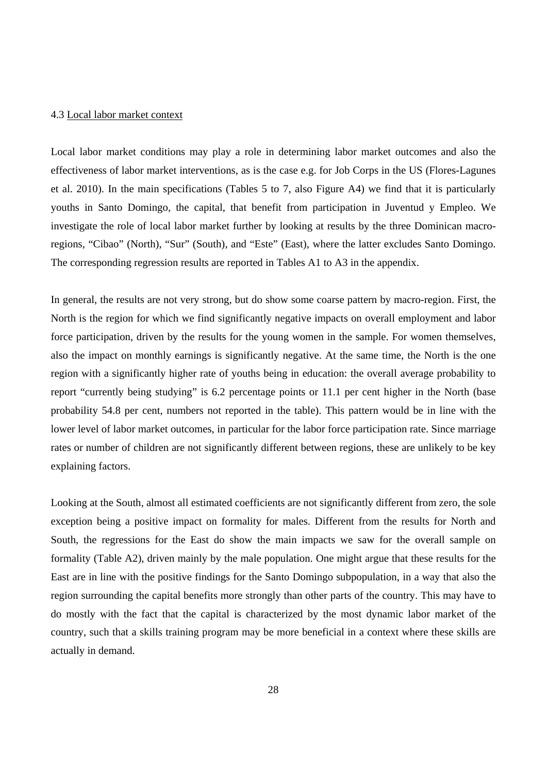#### 4.3 Local labor market context

Local labor market conditions may play a role in determining labor market outcomes and also the effectiveness of labor market interventions, as is the case e.g. for Job Corps in the US (Flores-Lagunes et al. 2010). In the main specifications (Tables 5 to 7, also Figure A4) we find that it is particularly youths in Santo Domingo, the capital, that benefit from participation in Juventud y Empleo. We investigate the role of local labor market further by looking at results by the three Dominican macroregions, "Cibao" (North), "Sur" (South), and "Este" (East), where the latter excludes Santo Domingo. The corresponding regression results are reported in Tables A1 to A3 in the appendix.

In general, the results are not very strong, but do show some coarse pattern by macro-region. First, the North is the region for which we find significantly negative impacts on overall employment and labor force participation, driven by the results for the young women in the sample. For women themselves, also the impact on monthly earnings is significantly negative. At the same time, the North is the one region with a significantly higher rate of youths being in education: the overall average probability to report "currently being studying" is 6.2 percentage points or 11.1 per cent higher in the North (base probability 54.8 per cent, numbers not reported in the table). This pattern would be in line with the lower level of labor market outcomes, in particular for the labor force participation rate. Since marriage rates or number of children are not significantly different between regions, these are unlikely to be key explaining factors.

Looking at the South, almost all estimated coefficients are not significantly different from zero, the sole exception being a positive impact on formality for males. Different from the results for North and South, the regressions for the East do show the main impacts we saw for the overall sample on formality (Table A2), driven mainly by the male population. One might argue that these results for the East are in line with the positive findings for the Santo Domingo subpopulation, in a way that also the region surrounding the capital benefits more strongly than other parts of the country. This may have to do mostly with the fact that the capital is characterized by the most dynamic labor market of the country, such that a skills training program may be more beneficial in a context where these skills are actually in demand.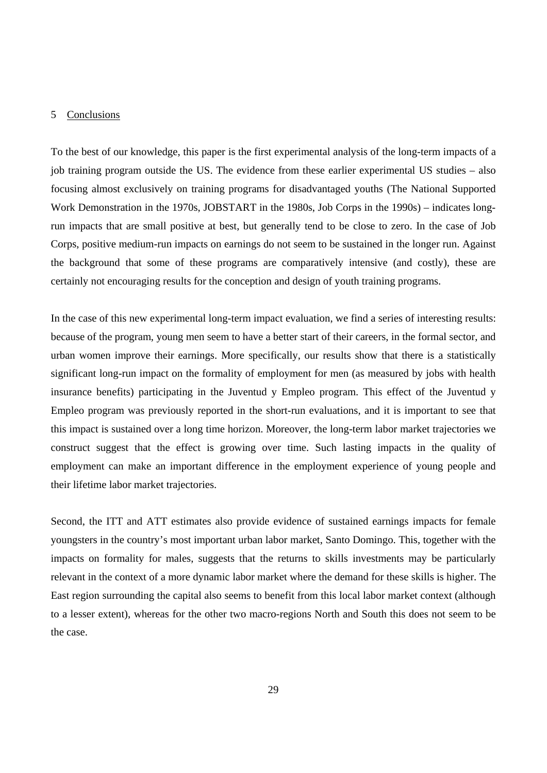#### 5 Conclusions

To the best of our knowledge, this paper is the first experimental analysis of the long-term impacts of a job training program outside the US. The evidence from these earlier experimental US studies – also focusing almost exclusively on training programs for disadvantaged youths (The National Supported Work Demonstration in the 1970s, JOBSTART in the 1980s, Job Corps in the 1990s) – indicates longrun impacts that are small positive at best, but generally tend to be close to zero. In the case of Job Corps, positive medium-run impacts on earnings do not seem to be sustained in the longer run. Against the background that some of these programs are comparatively intensive (and costly), these are certainly not encouraging results for the conception and design of youth training programs.

In the case of this new experimental long-term impact evaluation, we find a series of interesting results: because of the program, young men seem to have a better start of their careers, in the formal sector, and urban women improve their earnings. More specifically, our results show that there is a statistically significant long-run impact on the formality of employment for men (as measured by jobs with health insurance benefits) participating in the Juventud y Empleo program. This effect of the Juventud y Empleo program was previously reported in the short-run evaluations, and it is important to see that this impact is sustained over a long time horizon. Moreover, the long-term labor market trajectories we construct suggest that the effect is growing over time. Such lasting impacts in the quality of employment can make an important difference in the employment experience of young people and their lifetime labor market trajectories.

Second, the ITT and ATT estimates also provide evidence of sustained earnings impacts for female youngsters in the country's most important urban labor market, Santo Domingo. This, together with the impacts on formality for males, suggests that the returns to skills investments may be particularly relevant in the context of a more dynamic labor market where the demand for these skills is higher. The East region surrounding the capital also seems to benefit from this local labor market context (although to a lesser extent), whereas for the other two macro-regions North and South this does not seem to be the case.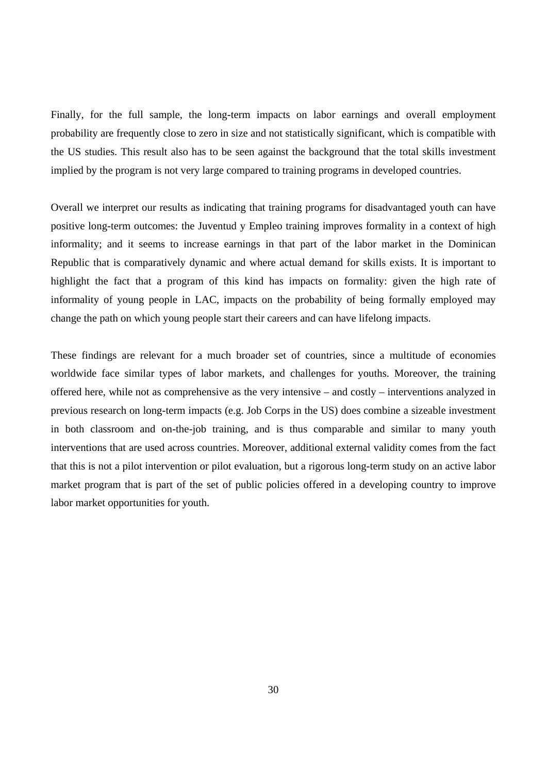Finally, for the full sample, the long-term impacts on labor earnings and overall employment probability are frequently close to zero in size and not statistically significant, which is compatible with the US studies. This result also has to be seen against the background that the total skills investment implied by the program is not very large compared to training programs in developed countries.

Overall we interpret our results as indicating that training programs for disadvantaged youth can have positive long-term outcomes: the Juventud y Empleo training improves formality in a context of high informality; and it seems to increase earnings in that part of the labor market in the Dominican Republic that is comparatively dynamic and where actual demand for skills exists. It is important to highlight the fact that a program of this kind has impacts on formality: given the high rate of informality of young people in LAC, impacts on the probability of being formally employed may change the path on which young people start their careers and can have lifelong impacts.

These findings are relevant for a much broader set of countries, since a multitude of economies worldwide face similar types of labor markets, and challenges for youths. Moreover, the training offered here, while not as comprehensive as the very intensive – and costly – interventions analyzed in previous research on long-term impacts (e.g. Job Corps in the US) does combine a sizeable investment in both classroom and on-the-job training, and is thus comparable and similar to many youth interventions that are used across countries. Moreover, additional external validity comes from the fact that this is not a pilot intervention or pilot evaluation, but a rigorous long-term study on an active labor market program that is part of the set of public policies offered in a developing country to improve labor market opportunities for youth.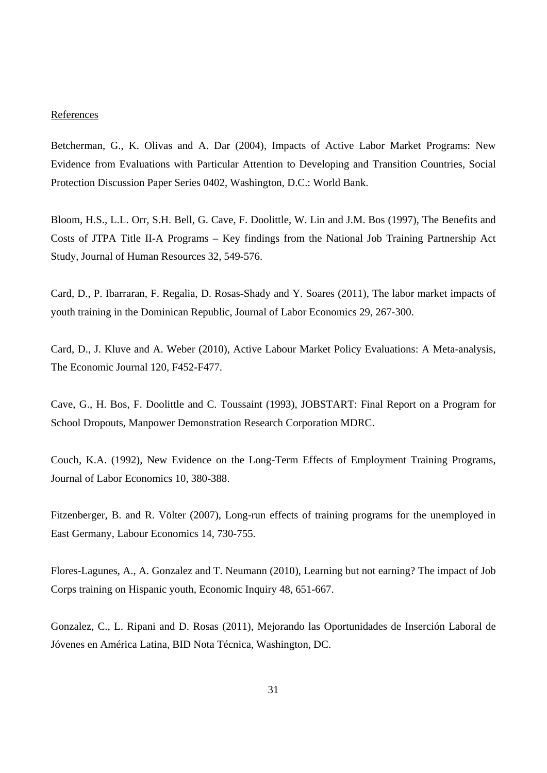#### **References**

Betcherman, G., K. Olivas and A. Dar (2004), Impacts of Active Labor Market Programs: New Evidence from Evaluations with Particular Attention to Developing and Transition Countries, Social Protection Discussion Paper Series 0402, Washington, D.C.: World Bank.

Bloom, H.S., L.L. Orr, S.H. Bell, G. Cave, F. Doolittle, W. Lin and J.M. Bos (1997), The Benefits and Costs of JTPA Title II-A Programs – Key findings from the National Job Training Partnership Act Study, Journal of Human Resources 32, 549-576.

Card, D., P. Ibarraran, F. Regalia, D. Rosas-Shady and Y. Soares (2011), The labor market impacts of youth training in the Dominican Republic, Journal of Labor Economics 29, 267-300.

Card, D., J. Kluve and A. Weber (2010), Active Labour Market Policy Evaluations: A Meta-analysis, The Economic Journal 120, F452-F477.

Cave, G., H. Bos, F. Doolittle and C. Toussaint (1993), JOBSTART: Final Report on a Program for School Dropouts, Manpower Demonstration Research Corporation MDRC.

Couch, K.A. (1992), New Evidence on the Long-Term Effects of Employment Training Programs, Journal of Labor Economics 10, 380-388.

Fitzenberger, B. and R. Völter (2007), Long-run effects of training programs for the unemployed in East Germany, Labour Economics 14, 730-755.

Flores-Lagunes, A., A. Gonzalez and T. Neumann (2010), Learning but not earning? The impact of Job Corps training on Hispanic youth, Economic Inquiry 48, 651-667.

Gonzalez, C., L. Ripani and D. Rosas (2011), Mejorando las Oportunidades de Inserción Laboral de Jóvenes en América Latina, BID Nota Técnica, Washington, DC.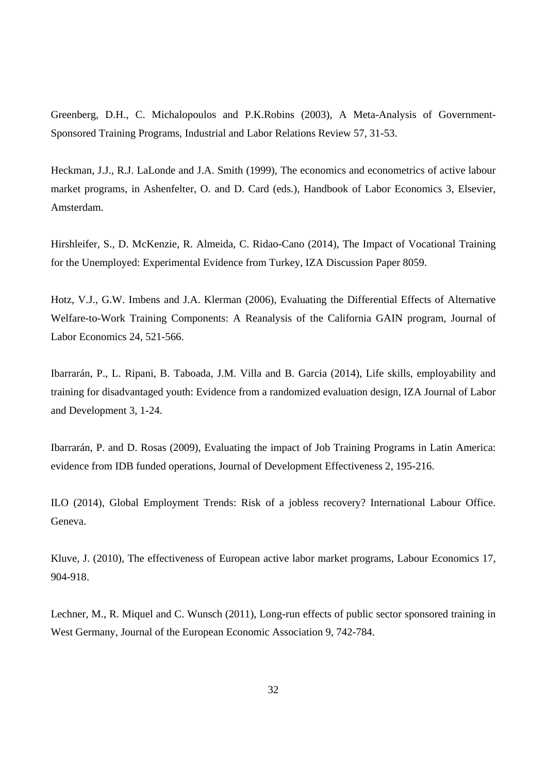Greenberg, D.H., C. Michalopoulos and P.K.Robins (2003), A Meta-Analysis of Government-Sponsored Training Programs, Industrial and Labor Relations Review 57, 31-53.

Heckman, J.J., R.J. LaLonde and J.A. Smith (1999), The economics and econometrics of active labour market programs, in Ashenfelter, O. and D. Card (eds.), Handbook of Labor Economics 3, Elsevier, Amsterdam.

Hirshleifer, S., D. McKenzie, R. Almeida, C. Ridao-Cano (2014), The Impact of Vocational Training for the Unemployed: Experimental Evidence from Turkey, IZA Discussion Paper 8059.

Hotz, V.J., G.W. Imbens and J.A. Klerman (2006), Evaluating the Differential Effects of Alternative Welfare-to-Work Training Components: A Reanalysis of the California GAIN program, Journal of Labor Economics 24, 521-566.

Ibarrarán, P., L. Ripani, B. Taboada, J.M. Villa and B. Garcia (2014), Life skills, employability and training for disadvantaged youth: Evidence from a randomized evaluation design, IZA Journal of Labor and Development 3, 1-24.

Ibarrarán, P. and D. Rosas (2009), Evaluating the impact of Job Training Programs in Latin America: evidence from IDB funded operations, Journal of Development Effectiveness 2, 195-216.

ILO (2014), Global Employment Trends: Risk of a jobless recovery? International Labour Office. Geneva.

Kluve, J. (2010), The effectiveness of European active labor market programs, Labour Economics 17, 904-918.

Lechner, M., R. Miquel and C. Wunsch (2011), Long-run effects of public sector sponsored training in West Germany, Journal of the European Economic Association 9, 742-784.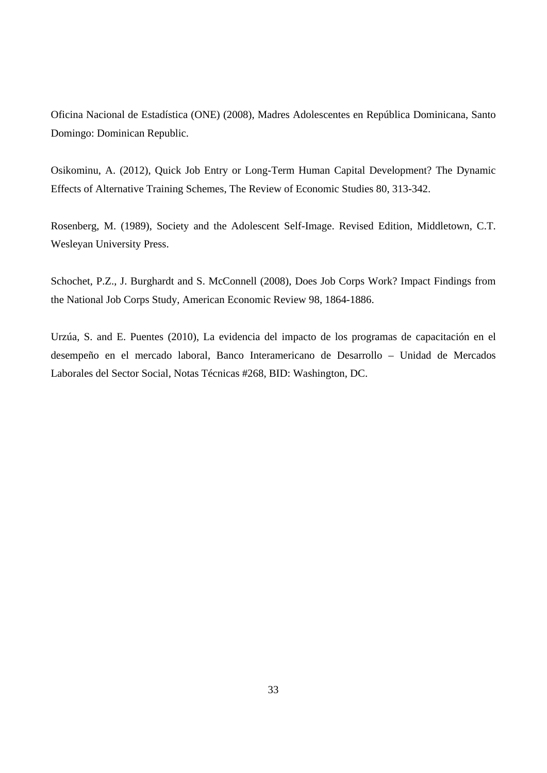Oficina Nacional de Estadística (ONE) (2008), Madres Adolescentes en República Dominicana, Santo Domingo: Dominican Republic.

Osikominu, A. (2012), Quick Job Entry or Long-Term Human Capital Development? The Dynamic Effects of Alternative Training Schemes, The Review of Economic Studies 80, 313-342.

Rosenberg, M. (1989), Society and the Adolescent Self-Image. Revised Edition, Middletown, C.T. Wesleyan University Press.

Schochet, P.Z., J. Burghardt and S. McConnell (2008), Does Job Corps Work? Impact Findings from the National Job Corps Study, American Economic Review 98, 1864-1886.

Urzúa, S. and E. Puentes (2010), La evidencia del impacto de los programas de capacitación en el desempeño en el mercado laboral, Banco Interamericano de Desarrollo – Unidad de Mercados Laborales del Sector Social, Notas Técnicas #268, BID: Washington, DC.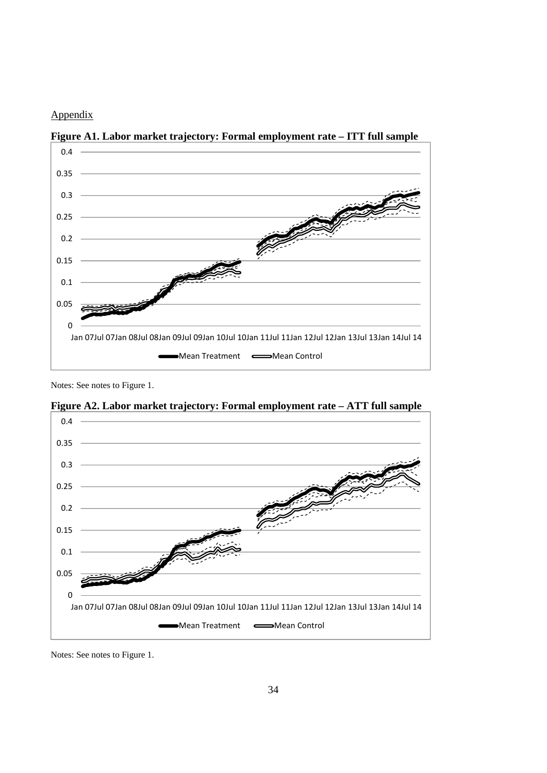#### Appendix



**Figure A1. Labor market trajectory: Formal employment rate – ITT full sample**

Notes: See notes to Figure 1.



**Figure A2. Labor market trajectory: Formal employment rate – ATT full sample**

Notes: See notes to Figure 1.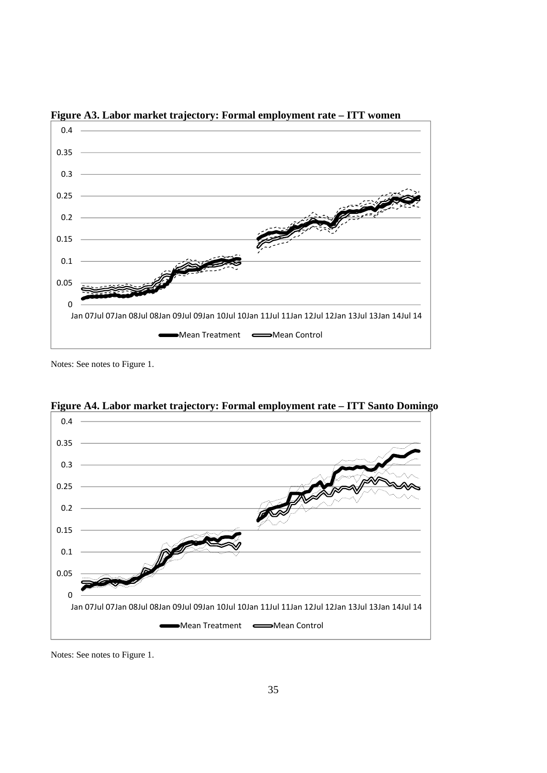

**Figure A3. Labor market trajectory: Formal employment rate – ITT women**

Notes: See notes to Figure 1.



**Figure A4. Labor market trajectory: Formal employment rate – ITT Santo Domingo**

Notes: See notes to Figure 1.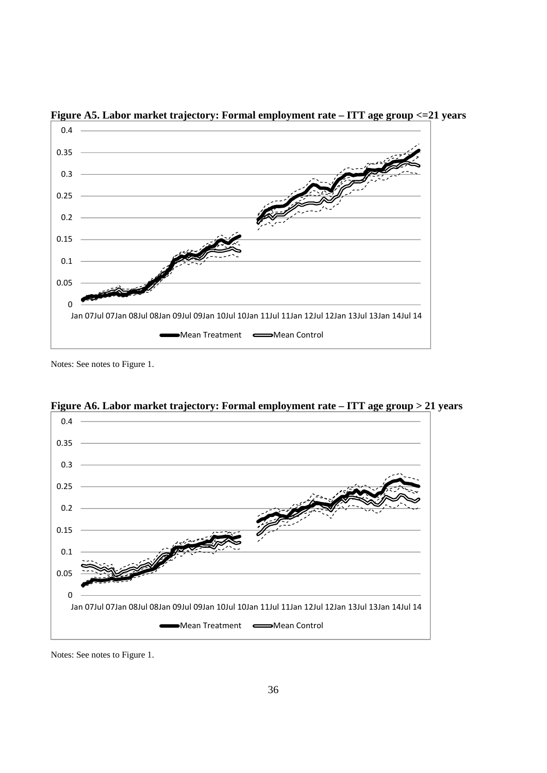

**Figure A5. Labor market trajectory: Formal employment rate – ITT age group <=21 years** 

Notes: See notes to Figure 1.



**Figure A6. Labor market trajectory: Formal employment rate – ITT age group > 21 years**

Notes: See notes to Figure 1.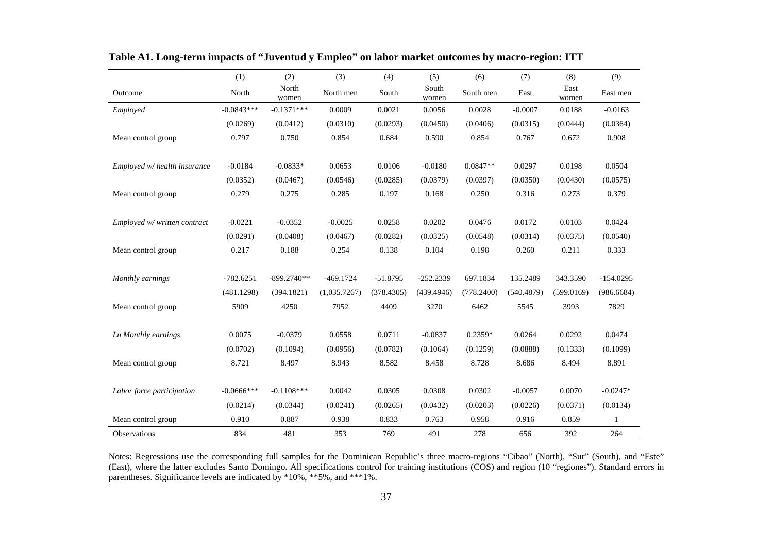|                              | (1)           | (2)            | (3)          | (4)        | (5)            | (6)        | (7)        | (8)           | (9)          |
|------------------------------|---------------|----------------|--------------|------------|----------------|------------|------------|---------------|--------------|
| Outcome                      | North         | North<br>women | North men    | South      | South<br>women | South men  | East       | East<br>women | East men     |
| Employed                     | $-0.0843***$  | $-0.1371***$   | 0.0009       | 0.0021     | 0.0056         | 0.0028     | $-0.0007$  | 0.0188        | $-0.0163$    |
|                              | (0.0269)      | (0.0412)       | (0.0310)     | (0.0293)   | (0.0450)       | (0.0406)   | (0.0315)   | (0.0444)      | (0.0364)     |
| Mean control group           | 0.797         | 0.750          | 0.854        | 0.684      | 0.590          | 0.854      | 0.767      | 0.672         | 0.908        |
| Employed w/ health insurance | $-0.0184$     | $-0.0833*$     | 0.0653       | 0.0106     | $-0.0180$      | $0.0847**$ | 0.0297     | 0.0198        | 0.0504       |
|                              | (0.0352)      | (0.0467)       | (0.0546)     | (0.0285)   | (0.0379)       | (0.0397)   | (0.0350)   | (0.0430)      | (0.0575)     |
| Mean control group           | 0.279         | 0.275          | 0.285        | 0.197      | 0.168          | 0.250      | 0.316      | 0.273         | 0.379        |
| Employed w/ written contract | $-0.0221$     | $-0.0352$      | $-0.0025$    | 0.0258     | 0.0202         | 0.0476     | 0.0172     | 0.0103        | 0.0424       |
|                              | (0.0291)      | (0.0408)       | (0.0467)     | (0.0282)   | (0.0325)       | (0.0548)   | (0.0314)   | (0.0375)      | (0.0540)     |
| Mean control group           | 0.217         | 0.188          | 0.254        | 0.138      | 0.104          | 0.198      | 0.260      | 0.211         | 0.333        |
| Monthly earnings             | $-782.6251$   | $-899.2740**$  | $-469.1724$  | $-51.8795$ | $-252.2339$    | 697.1834   | 135.2489   | 343.3590      | $-154.0295$  |
|                              | (481.1298)    | (394.1821)     | (1,035.7267) | (378.4305) | (439.4946)     | (778.2400) | (540.4879) | (599.0169)    | (986.6684)   |
| Mean control group           | 5909          | 4250           | 7952         | 4409       | 3270           | 6462       | 5545       | 3993          | 7829         |
| Ln Monthly earnings          | 0.0075        | $-0.0379$      | 0.0558       | 0.0711     | $-0.0837$      | 0.2359*    | 0.0264     | 0.0292        | 0.0474       |
|                              | (0.0702)      | (0.1094)       | (0.0956)     | (0.0782)   | (0.1064)       | (0.1259)   | (0.0888)   | (0.1333)      | (0.1099)     |
| Mean control group           | 8.721         | 8.497          | 8.943        | 8.582      | 8.458          | 8.728      | 8.686      | 8.494         | 8.891        |
| Labor force participation    | $-0.0666$ *** | $-0.1108***$   | 0.0042       | 0.0305     | 0.0308         | 0.0302     | $-0.0057$  | 0.0070        | $-0.0247*$   |
|                              | (0.0214)      | (0.0344)       | (0.0241)     | (0.0265)   | (0.0432)       | (0.0203)   | (0.0226)   | (0.0371)      | (0.0134)     |
| Mean control group           | 0.910         | 0.887          | 0.938        | 0.833      | 0.763          | 0.958      | 0.916      | 0.859         | $\mathbf{1}$ |
| Observations                 | 834           | 481            | 353          | 769        | 491            | 278        | 656        | 392           | 264          |

**Table A1. Long-term impacts of "Juventud y Empleo" on labor market outcomes by macro-region: ITT** 

Notes: Regressions use the corresponding full samples for the Dominican Republic's three macro-regions "Cibao" (North), "Sur" (South), and "Este" (East), where the latter excludes Santo Domingo. All specifications control for training institutions (COS) and region (10 "regiones"). Standard errors in parentheses. Significance levels are indicated by \*10%, \*\*5%, and \*\*\*1%.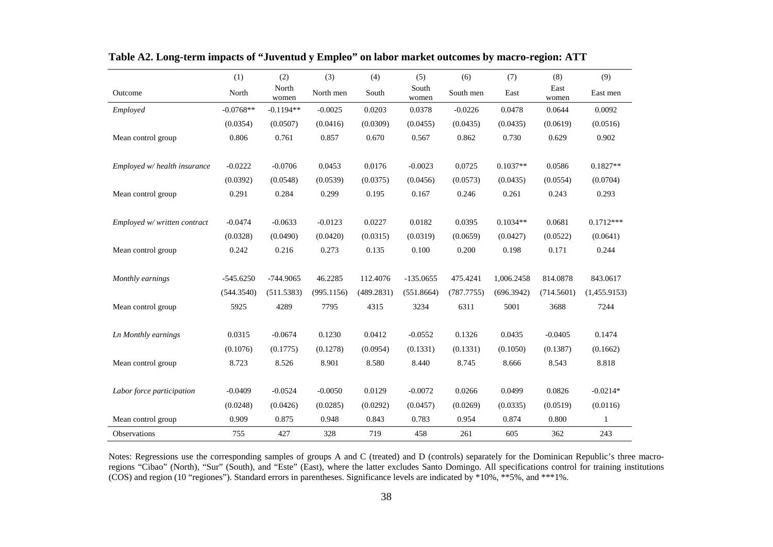|                              | (1)         | (2)            | (3)        | (4)        | (5)            | (6)        | (7)        | (8)           | (9)          |
|------------------------------|-------------|----------------|------------|------------|----------------|------------|------------|---------------|--------------|
| Outcome                      | North       | North<br>women | North men  | South      | South<br>women | South men  | East       | East<br>women | East men     |
| Employed                     | $-0.0768**$ | $-0.1194**$    | $-0.0025$  | 0.0203     | 0.0378         | $-0.0226$  | 0.0478     | 0.0644        | 0.0092       |
|                              | (0.0354)    | (0.0507)       | (0.0416)   | (0.0309)   | (0.0455)       | (0.0435)   | (0.0435)   | (0.0619)      | (0.0516)     |
| Mean control group           | 0.806       | 0.761          | 0.857      | 0.670      | 0.567          | 0.862      | 0.730      | 0.629         | 0.902        |
| Employed w/ health insurance | $-0.0222$   | $-0.0706$      | 0.0453     | 0.0176     | $-0.0023$      | 0.0725     | $0.1037**$ | 0.0586        | $0.1827**$   |
|                              | (0.0392)    | (0.0548)       | (0.0539)   | (0.0375)   | (0.0456)       | (0.0573)   | (0.0435)   | (0.0554)      | (0.0704)     |
| Mean control group           | 0.291       | 0.284          | 0.299      | 0.195      | 0.167          | 0.246      | 0.261      | 0.243         | 0.293        |
| Employed w/ written contract | $-0.0474$   | $-0.0633$      | $-0.0123$  | 0.0227     | 0.0182         | 0.0395     | $0.1034**$ | 0.0681        | $0.1712***$  |
|                              | (0.0328)    | (0.0490)       | (0.0420)   | (0.0315)   | (0.0319)       | (0.0659)   | (0.0427)   | (0.0522)      | (0.0641)     |
| Mean control group           | 0.242       | 0.216          | 0.273      | 0.135      | 0.100          | 0.200      | 0.198      | 0.171         | 0.244        |
| Monthly earnings             | $-545.6250$ | $-744.9065$    | 46.2285    | 112.4076   | $-135.0655$    | 475.4241   | 1,006.2458 | 814.0878      | 843.0617     |
|                              | (544.3540)  | (511.5383)     | (995.1156) | (489.2831) | (551.8664)     | (787.7755) | (696.3942) | (714.5601)    | (1,455.9153) |
| Mean control group           | 5925        | 4289           | 7795       | 4315       | 3234           | 6311       | 5001       | 3688          | 7244         |
| Ln Monthly earnings          | 0.0315      | $-0.0674$      | 0.1230     | 0.0412     | $-0.0552$      | 0.1326     | 0.0435     | $-0.0405$     | 0.1474       |
|                              | (0.1076)    | (0.1775)       | (0.1278)   | (0.0954)   | (0.1331)       | (0.1331)   | (0.1050)   | (0.1387)      | (0.1662)     |
| Mean control group           | 8.723       | 8.526          | 8.901      | 8.580      | 8.440          | 8.745      | 8.666      | 8.543         | 8.818        |
| Labor force participation    | $-0.0409$   | $-0.0524$      | $-0.0050$  | 0.0129     | $-0.0072$      | 0.0266     | 0.0499     | 0.0826        | $-0.0214*$   |
|                              | (0.0248)    | (0.0426)       | (0.0285)   | (0.0292)   | (0.0457)       | (0.0269)   | (0.0335)   | (0.0519)      | (0.0116)     |
| Mean control group           | 0.909       | 0.875          | 0.948      | 0.843      | 0.783          | 0.954      | 0.874      | 0.800         | 1            |
| Observations                 | 755         | 427            | 328        | 719        | 458            | 261        | 605        | 362           | 243          |

**Table A2. Long-term impacts of "Juventud y Empleo" on labor market outcomes by macro-region: ATT** 

Notes: Regressions use the corresponding samples of groups A and C (treated) and D (controls) separately for the Dominican Republic's three macroregions "Cibao" (North), "Sur" (South), and "Este" (East), where the latter excludes Santo Domingo. All specifications control for training institutions (COS) and region (10 "regiones"). Standard errors in parentheses. Significance levels are indicated by \*10%, \*\*5%, and \*\*\*1%.